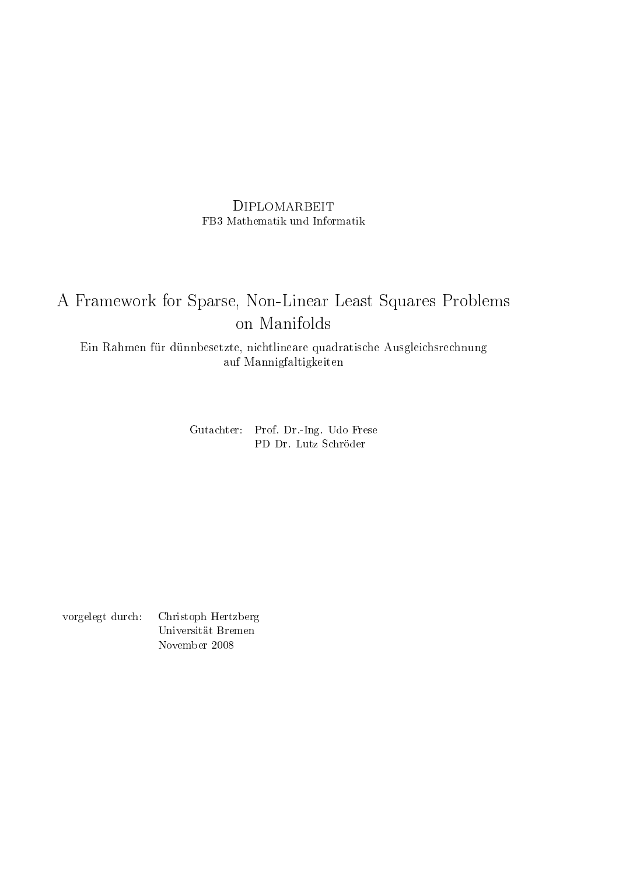## **DIPLOMARBEIT** FB3 Mathematik und Informatik

## A Framework for Sparse, Non-Linear Least Squares Problems on Manifolds

Ein Rahmen für dünnbesetzte, nichtlineare quadratische Ausgleichsrechnung auf Mannigfaltigkeiten

> Gutachter: Prof. Dr.-Ing. Udo Frese PD Dr. Lutz Schröder

vorgelegt durch: Christoph Hertzberg Universität Bremen November 2008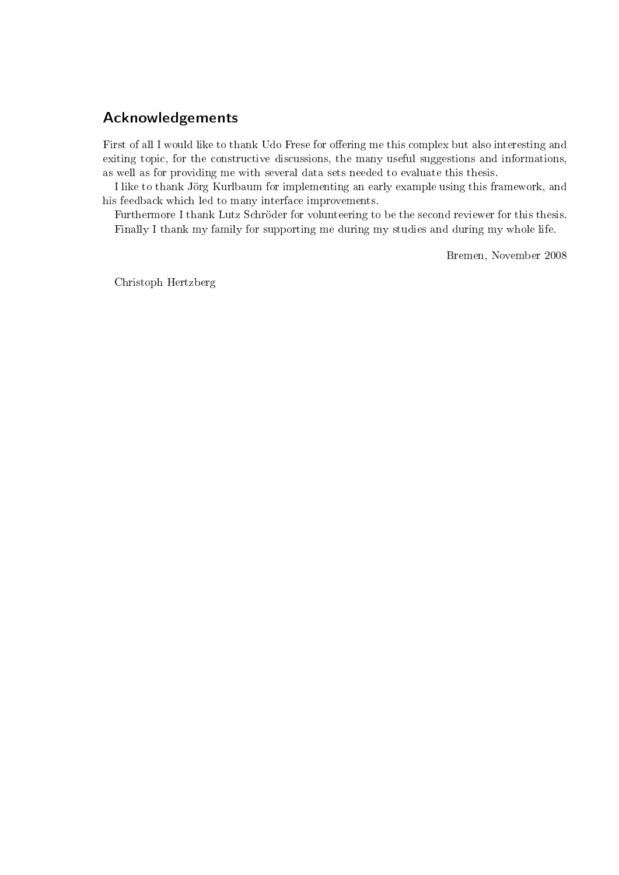## Acknowledgements

First of all I would like to thank Udo Frese for offering me this complex but also interesting and exiting topic, for the constructive discussions, the many useful suggestions and informations, as well as for providing me with several data sets needed to evaluate this thesis.

I like to thank Jörg Kurlbaum for implementing an early example using this framework, and his feedback which led to many interface improvements.

Furthermore I thank Lutz Schröder for volunteering to be the second reviewer for this thesis. Finally I thank my family for supporting me during my studies and during my whole life.

Bremen, November 2008

Christoph Hertzberg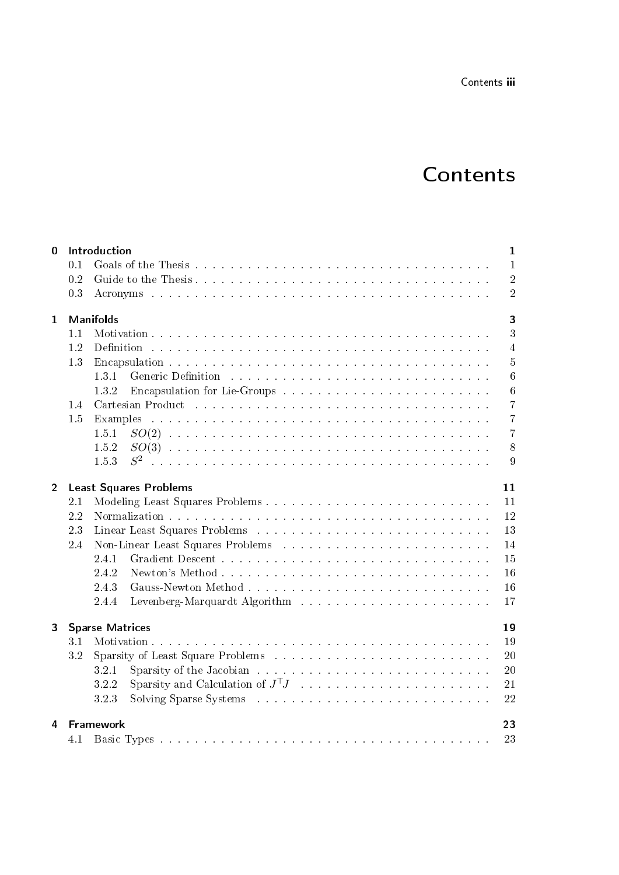## **Contents**

| $\bf{0}$       |                        | Introduction<br>$\mathbf{1}$                                                                                                     |  |  |  |  |  |
|----------------|------------------------|----------------------------------------------------------------------------------------------------------------------------------|--|--|--|--|--|
|                | 0.1                    | $\mathbf{1}$                                                                                                                     |  |  |  |  |  |
|                | 0.2                    | $\overline{2}$                                                                                                                   |  |  |  |  |  |
|                | 0.3                    | $\overline{2}$                                                                                                                   |  |  |  |  |  |
| $\mathbf{1}$   |                        | $\overline{\mathbf{3}}$<br><b>Manifolds</b>                                                                                      |  |  |  |  |  |
|                | 1.1                    | 3                                                                                                                                |  |  |  |  |  |
|                | 1.2                    | $\overline{4}$                                                                                                                   |  |  |  |  |  |
|                | 13                     | $\overline{5}$                                                                                                                   |  |  |  |  |  |
|                |                        | $6\phantom{.}6$<br>1.3.1                                                                                                         |  |  |  |  |  |
|                |                        | $\,6\,$<br>132                                                                                                                   |  |  |  |  |  |
|                | 1.4                    | $\overline{7}$<br>Cartesian Product (Alberta Albert Albert Albert Albert Albert Albert Albert Albert Albert Albert Albert Albert |  |  |  |  |  |
|                | 1.5                    | $\overline{7}$<br>Examples                                                                                                       |  |  |  |  |  |
|                |                        | $\overline{7}$<br>15.1                                                                                                           |  |  |  |  |  |
|                |                        | 8<br>152                                                                                                                         |  |  |  |  |  |
|                |                        | $S^2$<br>9<br>1.5.3                                                                                                              |  |  |  |  |  |
| $\overline{2}$ |                        | 11<br><b>Least Squares Problems</b>                                                                                              |  |  |  |  |  |
|                | 2.1                    | 11                                                                                                                               |  |  |  |  |  |
|                | 2.2                    | 12                                                                                                                               |  |  |  |  |  |
|                | 23                     | 13<br>Linear Least Squares Problems (Albert 2018) (Albert 2018) (Albert 2018) (Albert 2018) (Albert 2019) (Albert 20             |  |  |  |  |  |
|                | 2.4                    | 14                                                                                                                               |  |  |  |  |  |
|                |                        | 15<br>2.4.1                                                                                                                      |  |  |  |  |  |
|                |                        | 16<br>2.4.2                                                                                                                      |  |  |  |  |  |
|                |                        | 16<br>243                                                                                                                        |  |  |  |  |  |
|                |                        | 17<br>2.4.4                                                                                                                      |  |  |  |  |  |
|                |                        |                                                                                                                                  |  |  |  |  |  |
| 3              |                        | <b>Sparse Matrices</b><br>19                                                                                                     |  |  |  |  |  |
|                | 3.1                    | 19                                                                                                                               |  |  |  |  |  |
|                | 3.2                    | 20                                                                                                                               |  |  |  |  |  |
|                |                        | 20<br>3.2.1                                                                                                                      |  |  |  |  |  |
|                |                        | 21<br>3.2.2                                                                                                                      |  |  |  |  |  |
|                |                        | 22<br>323                                                                                                                        |  |  |  |  |  |
| 4              | <b>Framework</b><br>23 |                                                                                                                                  |  |  |  |  |  |
|                | 4.1                    | 23                                                                                                                               |  |  |  |  |  |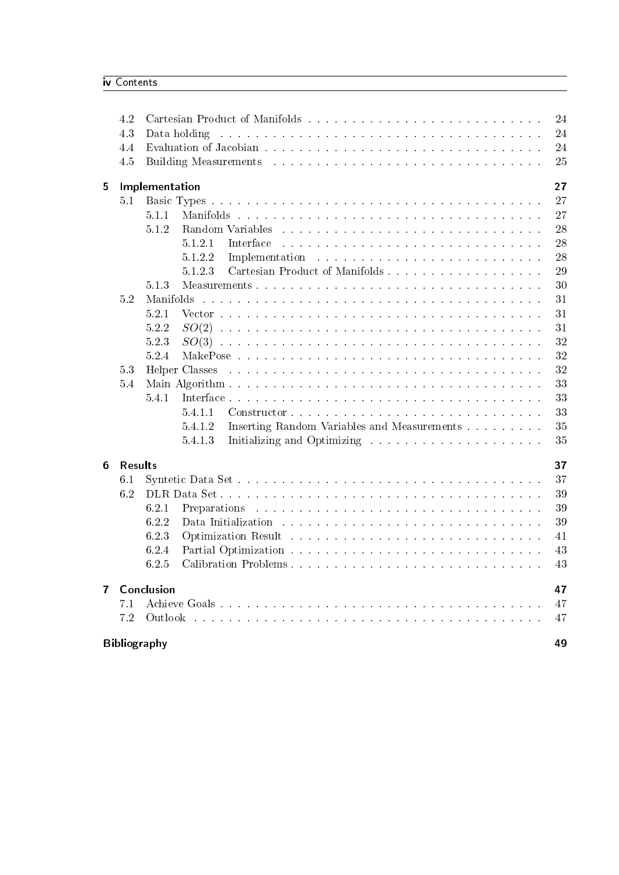|              | 4.2                       |                                                                                                                                                                                                                                        | 24 |  |  |  |
|--------------|---------------------------|----------------------------------------------------------------------------------------------------------------------------------------------------------------------------------------------------------------------------------------|----|--|--|--|
|              | 4.3                       | Data holding                                                                                                                                                                                                                           | 24 |  |  |  |
|              | 4.4                       |                                                                                                                                                                                                                                        | 24 |  |  |  |
|              | 4.5                       |                                                                                                                                                                                                                                        | 25 |  |  |  |
|              |                           |                                                                                                                                                                                                                                        |    |  |  |  |
| 5            |                           | Implementation                                                                                                                                                                                                                         | 27 |  |  |  |
|              | 5.1                       |                                                                                                                                                                                                                                        | 27 |  |  |  |
|              |                           | 5.1.1                                                                                                                                                                                                                                  | 27 |  |  |  |
|              |                           | 5.1.2<br>Random Variables                                                                                                                                                                                                              | 28 |  |  |  |
|              |                           | 5.1.2.1<br>Interface                                                                                                                                                                                                                   | 28 |  |  |  |
|              |                           | 5.1.2.2<br>Implementation                                                                                                                                                                                                              | 28 |  |  |  |
|              |                           | 5.1.2.3                                                                                                                                                                                                                                | 29 |  |  |  |
|              |                           | 5.1.3                                                                                                                                                                                                                                  | 30 |  |  |  |
|              | 5.2                       | Manifolds<br>a constitución de la caractería de la caractería de la caractería de la caractería de la caractería de la cara                                                                                                            | 31 |  |  |  |
|              |                           | 5.2.1                                                                                                                                                                                                                                  | 31 |  |  |  |
|              |                           | 5.2.2                                                                                                                                                                                                                                  | 31 |  |  |  |
|              |                           | 5.2.3                                                                                                                                                                                                                                  | 32 |  |  |  |
|              |                           | 5.2.4                                                                                                                                                                                                                                  | 32 |  |  |  |
|              | 5.3                       | Helper Classes                                                                                                                                                                                                                         | 32 |  |  |  |
|              | 5.4                       | and the contract of the contract of the contract of the contract of the contract of the contract of the contract of                                                                                                                    | 33 |  |  |  |
|              |                           |                                                                                                                                                                                                                                        |    |  |  |  |
|              |                           | 5.4.1                                                                                                                                                                                                                                  | 33 |  |  |  |
|              |                           | 5.4.1.1                                                                                                                                                                                                                                | 33 |  |  |  |
|              |                           | 5.4.1.2<br>Inserting Random Variables and Measurements                                                                                                                                                                                 | 35 |  |  |  |
|              |                           | 5413                                                                                                                                                                                                                                   | 35 |  |  |  |
| 6            | <b>Results</b>            |                                                                                                                                                                                                                                        | 37 |  |  |  |
|              | $6.1\,$                   |                                                                                                                                                                                                                                        | 37 |  |  |  |
|              | 6.2                       |                                                                                                                                                                                                                                        | 39 |  |  |  |
|              |                           | 6.2.1                                                                                                                                                                                                                                  | 39 |  |  |  |
|              |                           | 6.2.2<br>Data Initialization and a construction of the construction of the construction of the construction of the construction of the construction of the construction of the construction of the construction of the construction of | 39 |  |  |  |
|              |                           | 6.2.3                                                                                                                                                                                                                                  | 41 |  |  |  |
|              |                           | 6.2.4                                                                                                                                                                                                                                  | 43 |  |  |  |
|              |                           |                                                                                                                                                                                                                                        |    |  |  |  |
|              |                           | 6.2.5                                                                                                                                                                                                                                  | 43 |  |  |  |
| $\mathbf{7}$ |                           | Conclusion                                                                                                                                                                                                                             | 47 |  |  |  |
|              | 7.1                       |                                                                                                                                                                                                                                        | 47 |  |  |  |
|              | 7.2                       |                                                                                                                                                                                                                                        | 47 |  |  |  |
|              |                           |                                                                                                                                                                                                                                        |    |  |  |  |
|              | <b>Bibliography</b><br>49 |                                                                                                                                                                                                                                        |    |  |  |  |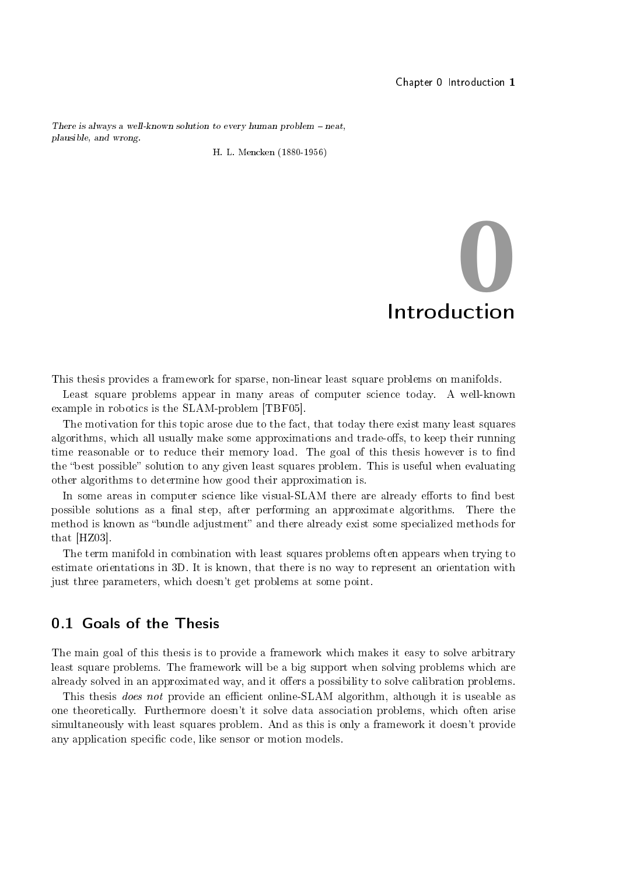<span id="page-4-0"></span>There is always a well-known solution to every human problem  $-$  neat, plausible, and wrong.

H. L. Mencken (1880-1956)



This thesis provides a framework for sparse, non-linear least square problems on manifolds.

Least square problems appear in many areas of computer science today. A well-known example in robotics is the SLAM-problem [\[TBF05\]](#page-53-0).

The motivation for this topic arose due to the fact, that today there exist many least squares algorithms, which all usually make some approximations and trade-offs, to keep their running time reasonable or to reduce their memory load. The goal of this thesis however is to find the "best possible" solution to any given least squares problem. This is useful when evaluating other algorithms to determine how good their approximation is.

In some areas in computer science like visual-SLAM there are already efforts to find best possible solutions as a final step, after performing an approximate algorithms. There the method is known as "bundle adjustment" and there already exist some specialized methods for that [\[HZ03\]](#page-52-1).

The term manifold in combination with least squares problems often appears when trying to estimate orientations in 3D. It is known, that there is no way to represent an orientation with just three parameters, which doesn't get problems at some point.

## <span id="page-4-1"></span>0.1 Goals of the Thesis

The main goal of this thesis is to provide a framework which makes it easy to solve arbitrary least square problems. The framework will be a big support when solving problems which are already solved in an approximated way, and it offers a possibility to solve calibration problems.

This thesis *does not* provide an efficient online-SLAM algorithm, although it is useable as one theoretically. Furthermore doesn't it solve data association problems, which often arise simultaneously with least squares problem. And as this is only a framework it doesn't provide any application specific code, like sensor or motion models.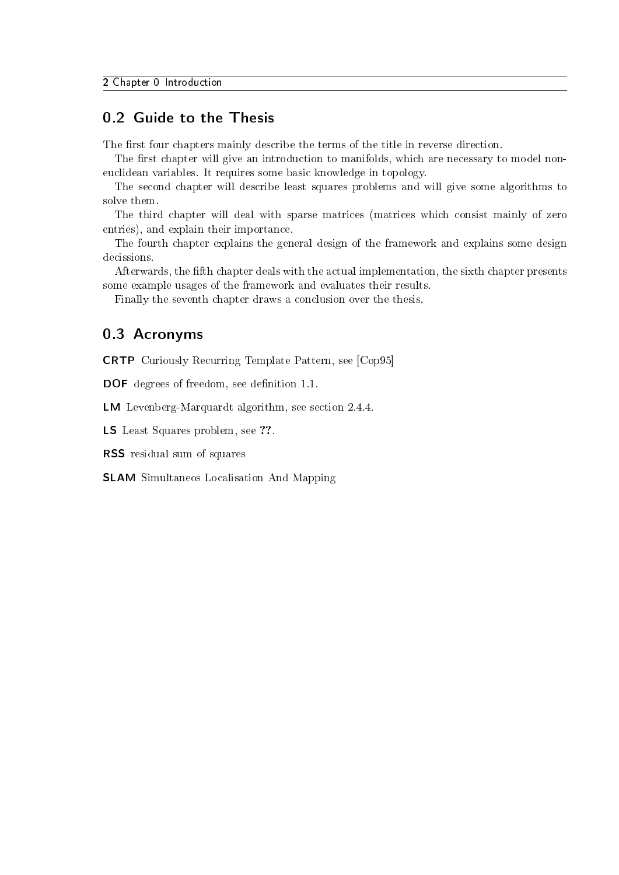## <span id="page-5-0"></span>0.2 Guide to the Thesis

The first four chapters mainly describe the terms of the title in reverse direction.

The first chapter will give an introduction to manifolds, which are necessary to model noneuclidean variables. It requires some basic knowledge in topology.

The second chapter will describe least squares problems and will give some algorithms to solve them.

The third chapter will deal with sparse matrices (matrices which consist mainly of zero entries), and explain their importance.

The fourth chapter explains the general design of the framework and explains some design decissions.

Afterwards, the fth chapter deals with the actual implementation, the sixth chapter presents some example usages of the framework and evaluates their results.

Finally the seventh chapter draws a conclusion over the thesis.

## <span id="page-5-1"></span>0.3 Acronyms

<span id="page-5-6"></span>CRTP Curiously Recurring Template Pattern, see [\[Cop95\]](#page-52-2)

<span id="page-5-2"></span>DOF degrees of freedom, see definition 1.1.

<span id="page-5-4"></span>LM Levenberg-Marquardt algorithm, see [section 2.4.4.](#page-20-0)

<span id="page-5-3"></span>LS Least Squares problem, see ??.

<span id="page-5-7"></span>RSS residual sum of squares

<span id="page-5-5"></span>SLAM Simultaneos Localisation And Mapping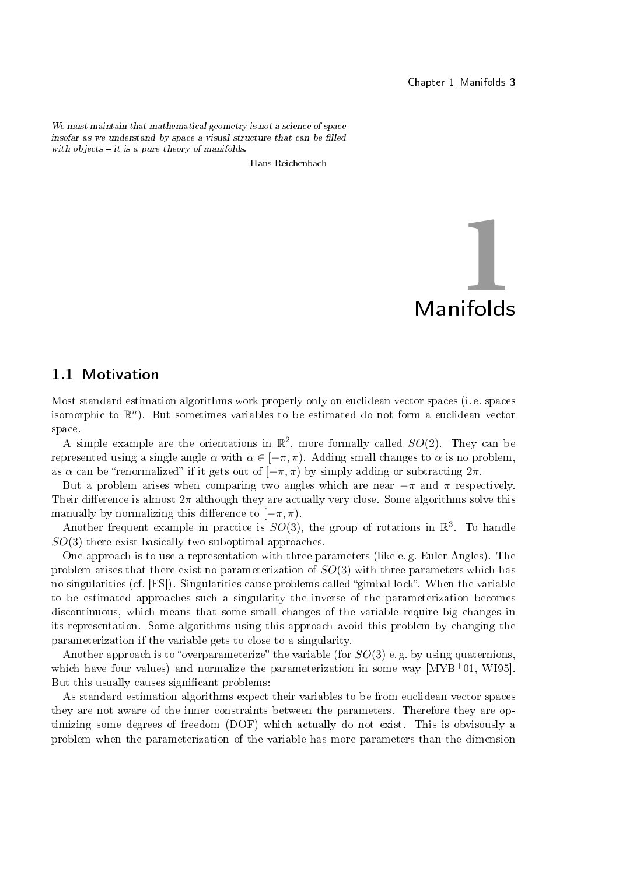<span id="page-6-0"></span>We must maintain that mathematical geometry is not a science of space insofar as we understand by space a visual structure that can be filled with objects  $-$  it is a pure theory of manifolds.

Hans Reichenbach



## <span id="page-6-1"></span>1.1 Motivation

Most standard estimation algorithms work properly only on euclidean vector spaces (i. e. spaces isomorphic to  $\mathbb{R}^n$ ). But sometimes variables to be estimated do not form a euclidean vector space.

A simple example are the orientations in  $\mathbb{R}^2$ , more formally called  $SO(2)$ . They can be represented using a single angle  $\alpha$  with  $\alpha \in [-\pi, \pi)$ . Adding small changes to  $\alpha$  is no problem, as  $\alpha$  can be "renormalized" if it gets out of  $[-\pi, \pi)$  by simply adding or subtracting  $2\pi$ .

But a problem arises when comparing two angles which are near  $-\pi$  and  $\pi$  respectively. Their difference is almost  $2\pi$  although they are actually very close. Some algorithms solve this manually by normalizing this difference to  $[-\pi, \pi)$ .

Another frequent example in practice is  $SO(3)$ , the group of rotations in  $\mathbb{R}^3$ . To handle  $SO(3)$  there exist basically two suboptimal approaches.

One approach is to use a representation with three parameters (like e. g. Euler Angles). The problem arises that there exist no parameterization of  $SO(3)$  with three parameters which has no singularities (cf. [\[FS\]](#page-52-3)). Singularities cause problems called "gimbal lock". When the variable to be estimated approaches such a singularity the inverse of the parameterization becomes discontinuous, which means that some small changes of the variable require big changes in its representation. Some algorithms using this approach avoid this problem by changing the parameterization if the variable gets to close to a singularity.

Another approach is to "overparameterize" the variable (for  $SO(3)$  e.g. by using quaternions, which have four values) and normalize the parameterization in some way  $[MYB<sup>+</sup>01, WI95]$  $[MYB<sup>+</sup>01, WI95]$  $[MYB<sup>+</sup>01, WI95]$ . But this usually causes signicant problems:

As standard estimation algorithms expect their variables to be from euclidean vector spaces they are not aware of the inner constraints between the parameters. Therefore they are optimizing some degrees of freedom [\(DOF\)](#page-5-2) which actually do not exist. This is obvisously a problem when the parameterization of the variable has more parameters than the dimension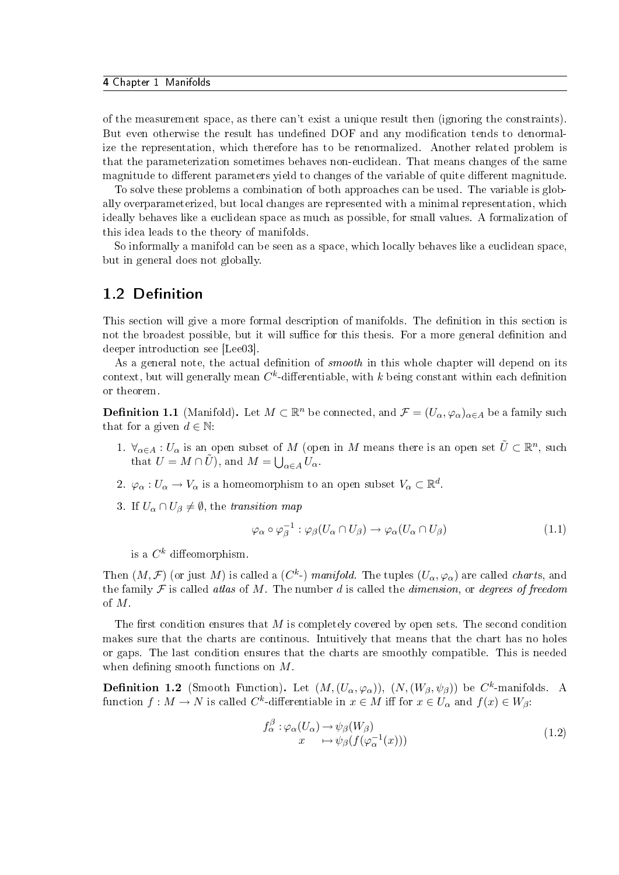#### 4 Chapter 1 Manifolds

of the measurement space, as there can't exist a unique result then (ignoring the constraints). But even otherwise the result has undefined [DOF](#page-5-2) and any modification tends to denormalize the representation, which therefore has to be renormalized. Another related problem is that the parameterization sometimes behaves non-euclidean. That means changes of the same magnitude to different parameters yield to changes of the variable of quite different magnitude.

To solve these problems a combination of both approaches can be used. The variable is globally overparameterized, but local changes are represented with a minimal representation, which ideally behaves like a euclidean space as much as possible, for small values. A formalization of this idea leads to the theory of manifolds.

So informally a manifold can be seen as a space, which locally behaves like a euclidean space, but in general does not globally.

## <span id="page-7-0"></span>1.2 Definition

This section will give a more formal description of manifolds. The definition in this section is not the broadest possible, but it will suffice for this thesis. For a more general definition and deeper introduction see [\[Lee03\]](#page-52-5).

As a general note, the actual definition of  $smooth$  in this whole chapter will depend on its context, but will generally mean  $C^k$ -differentiable, with  $k$  being constant within each definition or theorem.

<span id="page-7-1"></span>**Definition 1.1** (Manifold). Let  $M \subset \mathbb{R}^n$  be connected, and  $\mathcal{F} = (U_\alpha, \varphi_\alpha)_{\alpha \in A}$  be a family such that for a given  $d \in \mathbb{N}$ :

- 1.  $\forall_{\alpha \in A}: U_{\alpha}$  is an open subset of M (open in M means there is an open set  $\tilde{U} \subset \mathbb{R}^n$ , such that  $U = M \cap \tilde{U}$ , and  $M = \bigcup_{\alpha \in A} U_{\alpha}$ .
- 2.  $\varphi_{\alpha}: U_{\alpha} \to V_{\alpha}$  is a homeomorphism to an open subset  $V_{\alpha} \subset \mathbb{R}^d$ .
- 3. If  $U_{\alpha} \cap U_{\beta} \neq \emptyset$ , the transition map

$$
\varphi_{\alpha} \circ \varphi_{\beta}^{-1} : \varphi_{\beta}(U_{\alpha} \cap U_{\beta}) \to \varphi_{\alpha}(U_{\alpha} \cap U_{\beta}) \tag{1.1}
$$

is a  $C^k$  diffeomorphism.

Then  $(M,\mathcal{F})$  (or just M) is called a  $(C^{k_z})$  manifold. The tuples  $(U_\alpha,\varphi_\alpha)$  are called *charts*, and the family  $\mathcal F$  is called atlas of M. The number d is called the dimension, or degrees of freedom of M.

The first condition ensures that  $M$  is completely covered by open sets. The second condition makes sure that the charts are continous. Intuitively that means that the chart has no holes or gaps. The last condition ensures that the charts are smoothly compatible. This is needed when defining smooth functions on  $M$ .

**Definition 1.2** (Smooth Function). Let  $(M,(U_{\alpha},\varphi_{\alpha}))$ ,  $(N,(W_{\beta},\psi_{\beta}))$  be  $C^k$ -manifolds. A function  $f: M \to N$  is called  $C^k$ -differentiable in  $x \in M$  iff for  $x \in U_\alpha$  and  $f(x) \in W_\beta$ :

$$
f_{\alpha}^{\beta} : \varphi_{\alpha}(U_{\alpha}) \to \psi_{\beta}(W_{\beta})
$$
  

$$
x \mapsto \psi_{\beta}(f(\varphi_{\alpha}^{-1}(x)))
$$
 (1.2)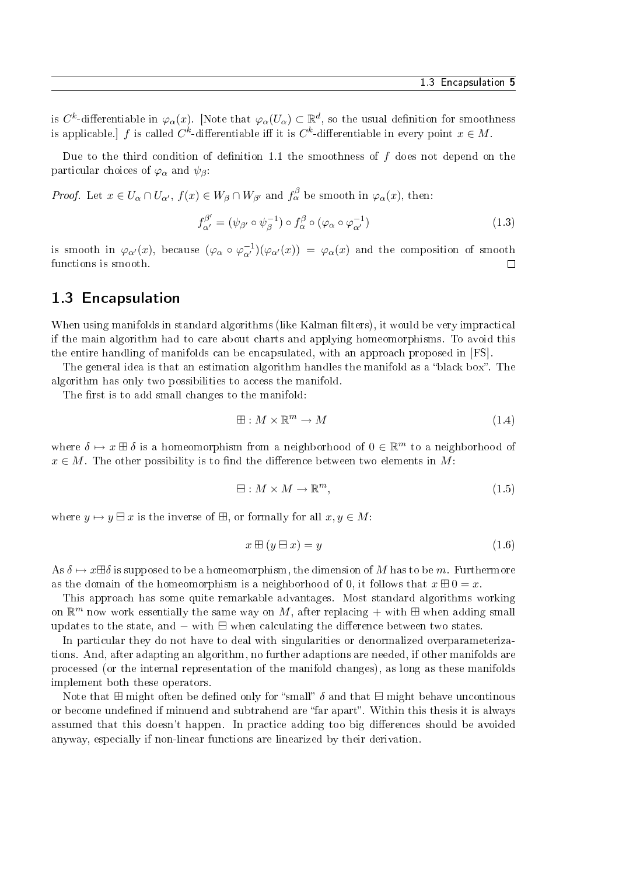is  $C^k$ -differentiable in  $\varphi_\alpha(x)$ . [Note that  $\varphi_\alpha(U_\alpha) \subset \mathbb{R}^d,$  so the usual definition for smoothness is applicable.]  $f$  is called  $C^k$ -differentiable iff it is  $C^k$ -differentiable in every point  $x \in M$ .

Due to the third condition of definition 1.1 the smoothness of  $f$  does not depend on the particular choices of  $\varphi_{\alpha}$  and  $\psi_{\beta}$ :

*Proof.* Let  $x \in U_\alpha \cap U_{\alpha'}$ ,  $f(x) \in W_\beta \cap W_{\beta'}$  and  $f_\alpha^\beta$  be smooth in  $\varphi_\alpha(x)$ , then:

$$
f_{\alpha'}^{\beta'} = (\psi_{\beta'} \circ \psi_{\beta}^{-1}) \circ f_{\alpha}^{\beta} \circ (\varphi_{\alpha} \circ \varphi_{\alpha'}^{-1})
$$
\n(1.3)

is smooth in  $\varphi_{\alpha}(x)$ , because  $(\varphi_{\alpha} \circ \varphi_{\alpha'}^{-1})(\varphi_{\alpha'}(x)) = \varphi_{\alpha}(x)$  and the composition of smooth functions is smooth.  $\Box$ 

## <span id="page-8-0"></span>1.3 Encapsulation

When using manifolds in standard algorithms (like Kalman filters), it would be very impractical if the main algorithm had to care about charts and applying homeomorphisms. To avoid this the entire handling of manifolds can be encapsulated, with an approach proposed in [\[FS\]](#page-52-3).

The general idea is that an estimation algorithm handles the manifold as a "black box". The algorithm has only two possibilities to access the manifold.

The first is to add small changes to the manifold:

$$
\mathbb{H}: M \times \mathbb{R}^m \to M \tag{1.4}
$$

where  $\delta \mapsto x \boxplus \delta$  is a homeomorphism from a neighborhood of  $0 \in \mathbb{R}^m$  to a neighborhood of  $x \in M$ . The other possibility is to find the difference between two elements in M:

$$
\boxminus : M \times M \to \mathbb{R}^m,\tag{1.5}
$$

where  $y \mapsto y \boxminus x$  is the inverse of  $\boxplus$ , or formally for all  $x, y \in M$ :

<span id="page-8-1"></span>
$$
x \boxplus (y \boxminus x) = y \tag{1.6}
$$

As  $\delta \mapsto x \boxplus \delta$  is supposed to be a homeomorphism, the dimension of M has to be m. Furthermore as the domain of the homeomorphism is a neighborhood of 0, it follows that  $x \boxplus 0 = x$ .

This approach has some quite remarkable advantages. Most standard algorithms working on  $\mathbb{R}^m$  now work essentially the same way on  $M,$  after replacing  $+$  with  $\boxplus$  when adding small updates to the state, and  $-$  with  $\boxminus$  when calculating the difference between two states.

In particular they do not have to deal with singularities or denormalized overparameterizations. And, after adapting an algorithm, no further adaptions are needed, if other manifolds are processed (or the internal representation of the manifold changes), as long as these manifolds implement both these operators.

Note that  $\boxplus$  might often be defined only for "small"  $\delta$  and that  $\boxminus$  might behave uncontinous or become undefined if minuend and subtrahend are "far apart". Within this thesis it is always assumed that this doesn't happen. In practice adding too big differences should be avoided anyway, especially if non-linear functions are linearized by their derivation.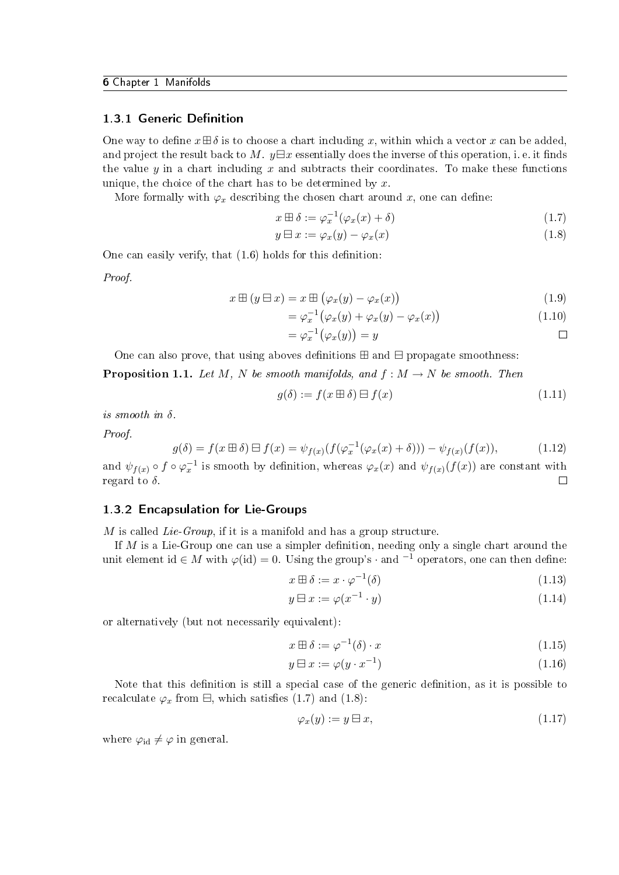#### 6 Chapter 1 Manifolds

#### <span id="page-9-0"></span>1.3.1 Generic Definition

One way to define  $x \boxplus \delta$  is to choose a chart including x, within which a vector x can be added, and project the result back to M.  $y \boxminus x$  essentially does the inverse of this operation, i.e. it finds the value  $y$  in a chart including  $x$  and subtracts their coordinates. To make these functions unique, the choice of the chart has to be determined by  $x$ .

More formally with  $\varphi_x$  describing the chosen chart around x, one can define:

<span id="page-9-3"></span><span id="page-9-2"></span>
$$
x \boxplus \delta := \varphi_x^{-1}(\varphi_x(x) + \delta) \tag{1.7}
$$

$$
y \boxminus x := \varphi_x(y) - \varphi_x(x) \tag{1.8}
$$

One can easily verify, that  $(1.6)$  holds for this definition:

Proof.

$$
x \boxplus (y \boxminus x) = x \boxplus (\varphi_x(y) - \varphi_x(x)) \tag{1.9}
$$

$$
= \varphi_x^{-1} \big( \varphi_x(y) + \varphi_x(y) - \varphi_x(x) \big) \tag{1.10}
$$

$$
=\varphi_x^{-1}(\varphi_x(y))=y
$$

One can also prove, that using aboves definitions  $\boxplus$  and  $\boxminus$  propagate smoothness:

**Proposition 1.1.** Let M, N be smooth manifolds, and  $f : M \to N$  be smooth. Then

$$
g(\delta) := f(x \boxplus \delta) \boxminus f(x) \tag{1.11}
$$

is smooth in  $\delta$ .

Proof.

$$
g(\delta) = f(x \boxplus \delta) \boxminus f(x) = \psi_{f(x)}(f(\varphi_x^{-1}(\varphi_x(x) + \delta))) - \psi_{f(x)}(f(x)), \tag{1.12}
$$

and  $\psi_{f(x)} \circ f \circ \varphi_x^{-1}$  is smooth by definition, whereas  $\varphi_x(x)$  and  $\psi_{f(x)}(f(x))$  are constant with regard to  $\delta$ .  $\Box$ 

#### <span id="page-9-1"></span>1.3.2 Encapsulation for Lie-Groups

M is called Lie-Group, if it is a manifold and has a group structure.

If  $M$  is a Lie-Group one can use a simpler definition, needing only a single chart around the unit element id  $\in M$  with  $\varphi(\text{id}) = 0$ . Using the group's · and <sup>-1</sup> operators, one can then define:

$$
x \boxplus \delta := x \cdot \varphi^{-1}(\delta) \tag{1.13}
$$

$$
y \boxminus x := \varphi(x^{-1} \cdot y) \tag{1.14}
$$

or alternatively (but not necessarily equivalent):

$$
x \boxplus \delta := \varphi^{-1}(\delta) \cdot x \tag{1.15}
$$

$$
y \boxminus x := \varphi(y \cdot x^{-1}) \tag{1.16}
$$

Note that this definition is still a special case of the generic definition, as it is possible to recalculate  $\varphi_x$  from  $\boxminus$ , which satisfies [\(1.7\)](#page-9-2) and [\(1.8\)](#page-9-3):

$$
\varphi_x(y) := y \boxminus x,\tag{1.17}
$$

where  $\varphi_{id} \neq \varphi$  in general.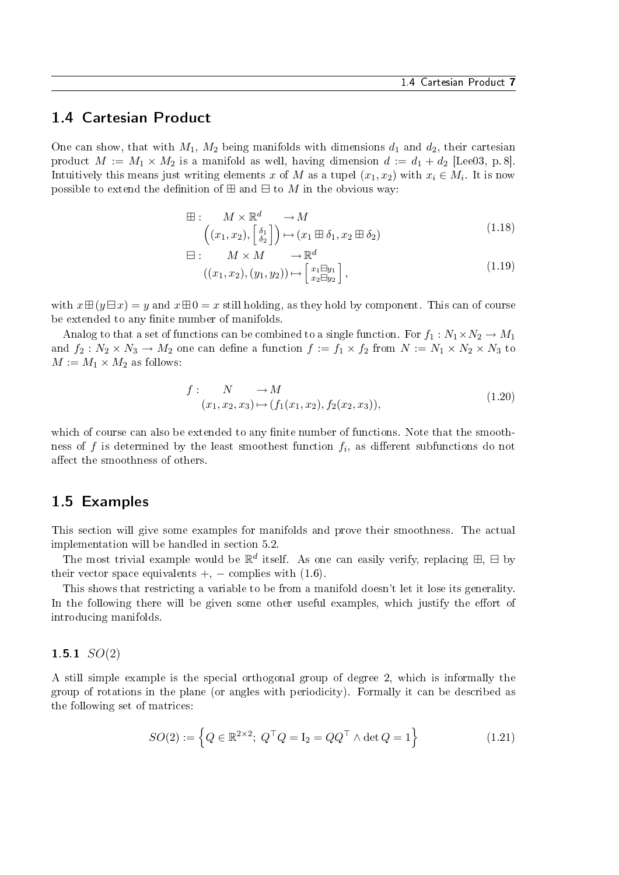#### <span id="page-10-0"></span>1.4 Cartesian Product

One can show, that with  $M_1$ ,  $M_2$  being manifolds with dimensions  $d_1$  and  $d_2$ , their cartesian product  $M := M_1 \times M_2$  is a manifold as well, having dimension  $d := d_1 + d_2$  [\[Lee03,](#page-52-5) p. 8]. Intuitively this means just writing elements x of M as a tupel  $(x_1, x_2)$  with  $x_i \in M_i$ . It is now possible to extend the definition of  $\boxplus$  and  $\boxminus$  to M in the obvious way:

$$
\boxplus: \quad M \times \mathbb{R}^d \longrightarrow M
$$
\n
$$
\left( (x_1, x_2), \begin{bmatrix} \delta_1 \\ \delta_2 \end{bmatrix} \right) \mapsto (x_1 \boxplus \delta_1, x_2 \boxplus \delta_2) \tag{1.18}
$$

$$
\boxminus : \qquad M \times M \qquad \to \mathbb{R}^d
$$
  

$$
((x_1, x_2), (y_1, y_2)) \mapsto \begin{bmatrix} x_1 \boxminus y_1 \\ x_2 \boxminus y_2 \end{bmatrix}, \qquad (1.19)
$$

with  $x \boxplus (y \boxminus x) = y$  and  $x \boxplus 0 = x$  still holding, as they hold by component. This can of course be extended to any finite number of manifolds.

Analog to that a set of functions can be combined to a single function. For  $f_1 : N_1 \times N_2 \to M_1$ and  $f_2: N_2 \times N_3 \to M_2$  one can define a function  $f := f_1 \times f_2$  from  $N := N_1 \times N_2 \times N_3$  to  $M := M_1 \times M_2$  as follows:

$$
f: \t N \to M
$$
  
(x<sub>1</sub>, x<sub>2</sub>, x<sub>3</sub>)  $\mapsto$  (f<sub>1</sub>(x<sub>1</sub>, x<sub>2</sub>), f<sub>2</sub>(x<sub>2</sub>, x<sub>3</sub>)), (1.20)

which of course can also be extended to any finite number of functions. Note that the smoothness of  $f$  is determined by the least smoothest function  $f_i$ , as different subfunctions do not affect the smoothness of others.

## <span id="page-10-1"></span>1.5 Examples

This section will give some examples for manifolds and prove their smoothness. The actual implementation will be handled in [section 5.2.](#page-34-0)

The most trivial example would be  $\mathbb{R}^d$  itself. As one can easily verify, replacing  $\boxplus, \boxminus$  by their vector space equivalents  $+$ ,  $-$  complies with [\(1.6\)](#page-8-1).

This shows that restricting a variable to be from a manifold doesn't let it lose its generality. In the following there will be given some other useful examples, which justify the effort of introducing manifolds.

#### <span id="page-10-2"></span>1.5.1  $SO(2)$

A still simple example is the special orthogonal group of degree 2, which is informally the group of rotations in the plane (or angles with periodicity). Formally it can be described as the following set of matrices:

$$
SO(2) := \left\{ Q \in \mathbb{R}^{2 \times 2}; \ Q^{\top} Q = I_2 = QQ^{\top} \wedge \det Q = 1 \right\}
$$
 (1.21)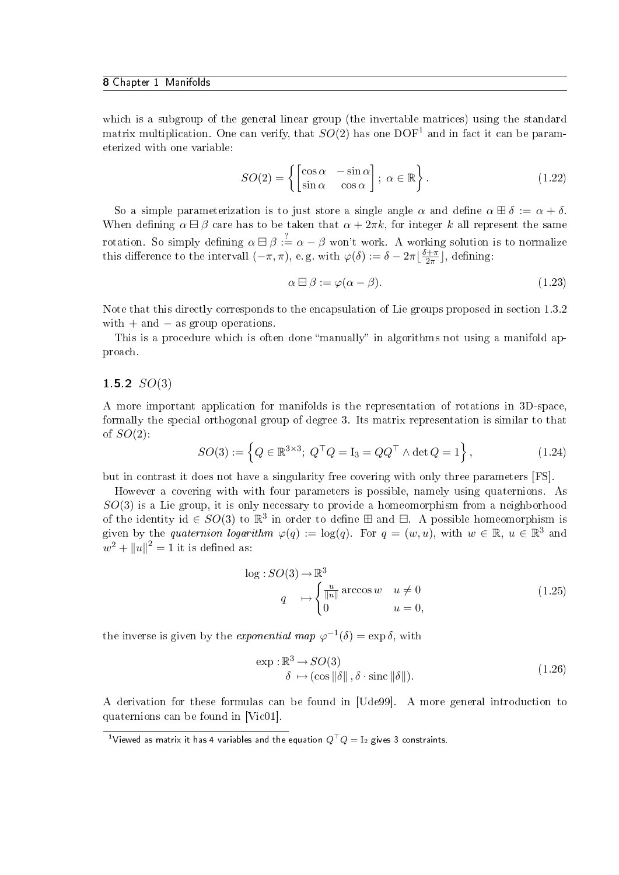#### 8 Chapter 1 Manifolds

which is a subgroup of the general linear group (the invertable matrices) using the standard matrix multiplication. One can verify, that  $SO(2)$  has one [DOF](#page-5-2)<sup>[1](#page-11-1)</sup> and in fact it can be parameterized with one variable:

$$
SO(2) = \left\{ \begin{bmatrix} \cos \alpha & -\sin \alpha \\ \sin \alpha & \cos \alpha \end{bmatrix}; \ \alpha \in \mathbb{R} \right\}.
$$
 (1.22)

So a simple parameterization is to just store a single angle  $\alpha$  and define  $\alpha \boxplus \delta := \alpha + \delta$ . When defining  $\alpha \boxminus \beta$  care has to be taken that  $\alpha + 2\pi k$ , for integer k all represent the same rotation. So simply defining  $\alpha \boxminus \beta : = \alpha - \beta$  won't work. A working solution is to normalize this difference to the intervall  $(-\pi, \pi)$ , e.g. with  $\varphi(\delta) := \delta - 2\pi \frac{\delta + \pi}{2\pi}$  $\frac{p+\pi}{2\pi}$ , defining:

$$
\alpha \boxminus \beta := \varphi(\alpha - \beta). \tag{1.23}
$$

Note that this directly corresponds to the encapsulation of Lie groups proposed in [section 1.3.2](#page-9-1) with  $+$  and  $-$  as group operations.

This is a procedure which is often done "manually" in algorithms not using a manifold approach.

#### <span id="page-11-0"></span>1.5.2  $SO(3)$

A more important application for manifolds is the representation of rotations in 3D-space, formally the special orthogonal group of degree 3. Its matrix representation is similar to that of  $SO(2)$ :

$$
SO(3) := \left\{ Q \in \mathbb{R}^{3 \times 3}; \ Q^{\top} Q = I_3 = QQ^{\top} \wedge \det Q = 1 \right\},
$$
 (1.24)

but in contrast it does not have a singularity free covering with only three parameters [\[FS\]](#page-52-3).

However a covering with with four parameters is possible, namely using quaternions. As  $SO(3)$  is a Lie group, it is only necessary to provide a homeomorphism from a neighborhood of the identity id  $\in SO(3)$  to  $\mathbb{R}^3$  in order to define  $\boxplus$  and  $\boxminus$ . A possible homeomorphism is given by the *quaternion logarithm*  $\varphi(q) := \log(q)$ . For  $q = (w, u)$ , with  $w \in \mathbb{R}$ ,  $u \in \mathbb{R}^3$  and  $w^2 + ||u||^2 = 1$  it is defined as:

$$
\log: SO(3) \to \mathbb{R}^3
$$
  
\n
$$
q \mapsto \begin{cases} \frac{u}{\|u\|} \arccos w & u \neq 0 \\ 0 & u = 0, \end{cases}
$$
 (1.25)

the inverse is given by the *exponential* map  $\varphi^{-1}(\delta) = \exp \delta$ , with

$$
\exp : \mathbb{R}^3 \to SO(3) \n\delta \mapsto (\cos \|\delta\|, \delta \cdot \text{sinc}\|\delta\|).
$$
\n(1.26)

A derivation for these formulas can be found in [\[Ude99\]](#page-53-2). A more general introduction to quaternions can be found in [\[Vic01\]](#page-53-3).

<span id="page-11-1"></span> $^1$ Viewed as matrix it has 4 variables and the equation  $Q^\top Q = \mathrm{I}_2$  gives 3 constraints.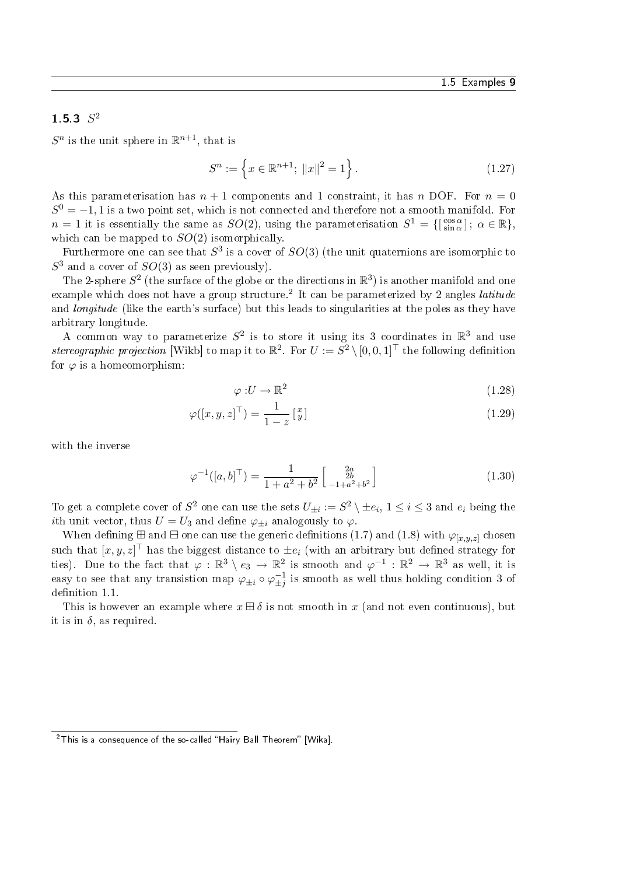## <span id="page-12-0"></span>1.5.3  $S^2$

 $S^n$  is the unit sphere in  $\mathbb{R}^{n+1}$ , that is

$$
S^n := \left\{ x \in \mathbb{R}^{n+1}; \ \|x\|^2 = 1 \right\}. \tag{1.27}
$$

As this parameterisation has  $n + 1$  components and 1 constraint, it has n [DOF.](#page-5-2) For  $n = 0$  $S^0 = -1, 1$  is a two point set, which is not connected and therefore not a smooth manifold. For  $n = 1$  it is essentially the same as  $SO(2)$ , using the parameterisation  $S^1 = \{ \begin{bmatrix} \cos \alpha \\ \sin \alpha \end{bmatrix}; \alpha \in \mathbb{R} \}$ , which can be mapped to  $SO(2)$  isomorphically.

Furthermore one can see that  $S^3$  is a cover of  $SO(3)$  (the unit quaternions are isomorphic to  $S^3$  and a cover of  $SO(3)$  as seen previously).

The 2-sphere  $S^2$  (the surface of the globe or the directions in  $\mathbb{R}^3$ ) is another manifold and one example which does not have a group structure.<sup>[2](#page-12-1)</sup> It can be parameterized by 2 angles *latitude* and *longitude* (like the earth's surface) but this leads to singularities at the poles as they have arbitrary longitude.

A common way to parameterize  $S^2$  is to store it using its 3 coordinates in  $\mathbb{R}^3$  and use stereographic projection [\[Wikb\]](#page-53-4) to map it to  $\mathbb{R}^2$ . For  $U := S^2 \setminus [0,0,1]^T$  the following definition for  $\varphi$  is a homeomorphism:

$$
\varphi: U \to \mathbb{R}^2 \tag{1.28}
$$

$$
\varphi([x, y, z]^\top) = \frac{1}{1 - z} \begin{bmatrix} x \\ y \end{bmatrix} \tag{1.29}
$$

with the inverse

$$
\varphi^{-1}([a,b]^{\top}) = \frac{1}{1+a^2+b^2} \begin{bmatrix} 2a \\ 2b \\ -1+a^2+b^2 \end{bmatrix}
$$
 (1.30)

To get a complete cover of  $S^2$  one can use the sets  $U_{\pm i} := S^2 \setminus \pm e_i, \, 1 \leq i \leq 3$  and  $e_i$  being the ith unit vector, thus  $U = U_3$  and define  $\varphi_{\pm i}$  analogously to  $\varphi$ .

When defining  $\boxplus$  and  $\boxminus$  one can use the generic definitions [\(1.7\)](#page-9-2) and [\(1.8\)](#page-9-3) with  $\varphi_{[x,y,z]}$  chosen such that  $[x, y, z]^\top$  has the biggest distance to  $\pm e_i$  (with an arbitrary but defined strategy for ties). Due to the fact that  $\varphi : \mathbb{R}^3 \setminus e_3 \to \mathbb{R}^2$  is smooth and  $\varphi^{-1} : \mathbb{R}^2 \to \mathbb{R}^3$  as well, it is easy to see that any transistion map  $\varphi_{\pm i} \circ \varphi_{\pm j}^{-1}$  is smooth as well thus holding condition 3 of definition 1.1.

This is however an example where  $x \boxplus \delta$  is not smooth in x (and not even continuous), but it is in  $\delta$ , as required.

<span id="page-12-1"></span> $2$ This is a consequence of the so-called "Hairy Ball Theorem" [\[Wika\]](#page-53-5).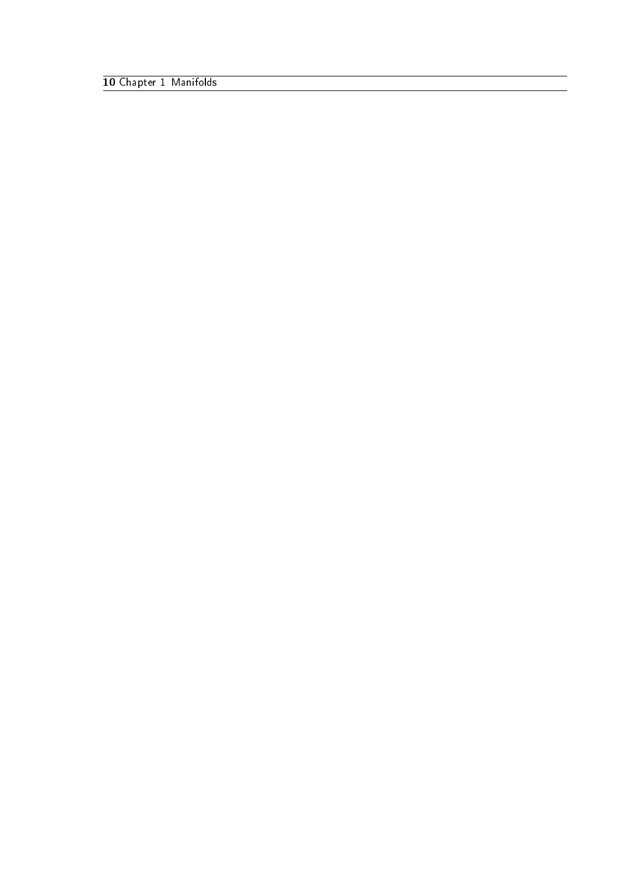Chapter 1 Manifolds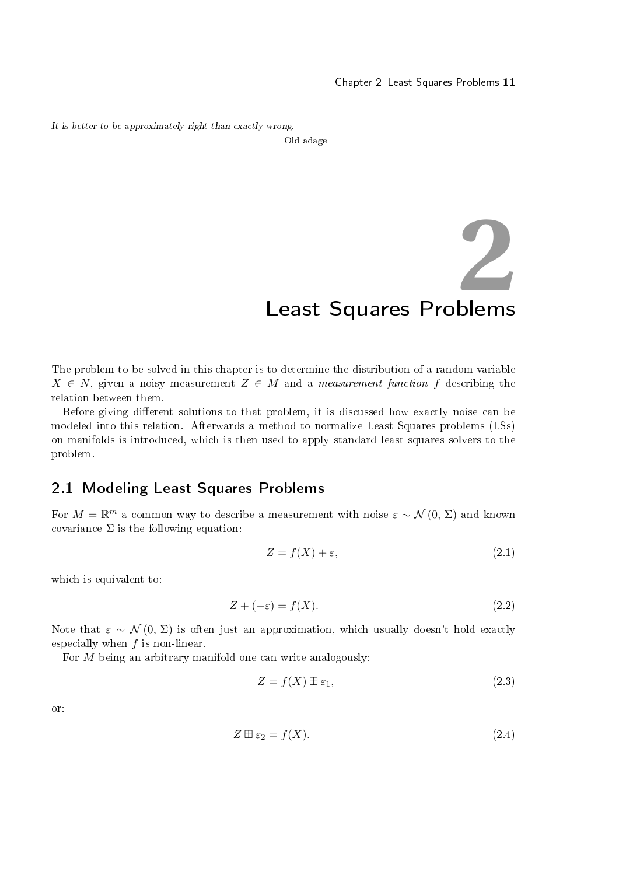<span id="page-14-0"></span>It is better to be approximately right than exactly wrong.

Old adage

# Least Squares Problems **2**

The problem to be solved in this chapter is to determine the distribution of a random variable  $X \in N$ , given a noisy measurement  $Z \in M$  and a *measurement function f* describing the relation between them.

Before giving different solutions to that problem, it is discussed how exactly noise can be modeled into this relation. Afterwards a method to normalize Least Squares problems [\(LSs](#page-5-3)) on manifolds is introduced, which is then used to apply standard least squares solvers to the problem.

## <span id="page-14-1"></span>2.1 Modeling Least Squares Problems

For  $M = \mathbb{R}^m$  a common way to describe a measurement with noise  $\varepsilon \sim \mathcal{N}(0, \Sigma)$  and known covariance  $\Sigma$  is the following equation:

<span id="page-14-3"></span><span id="page-14-2"></span>
$$
Z = f(X) + \varepsilon,\tag{2.1}
$$

which is equivalent to:

$$
Z + (-\varepsilon) = f(X). \tag{2.2}
$$

Note that  $\varepsilon \sim \mathcal{N}(0, \Sigma)$  is often just an approximation, which usually doesn't hold exactly especially when  $f$  is non-linear.

For M being an arbitrary manifold one can write analogously:

<span id="page-14-5"></span><span id="page-14-4"></span>
$$
Z = f(X) \boxplus \varepsilon_1,\tag{2.3}
$$

or:

$$
Z \boxplus \varepsilon_2 = f(X). \tag{2.4}
$$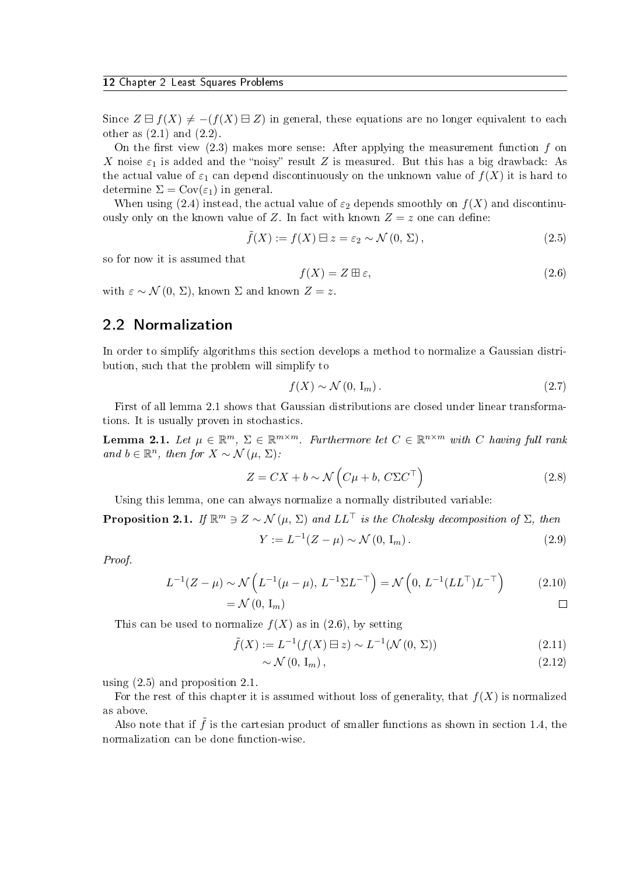Since  $Z \boxminus f(X) \neq -f(X) \boxminus Z$  in general, these equations are no longer equivalent to each other as  $(2.1)$  and  $(2.2)$ .

On the first view  $(2.3)$  makes more sense: After applying the measurement function f on X noise  $\varepsilon_1$  is added and the "noisy" result Z is measured. But this has a big drawback: As the actual value of  $\varepsilon_1$  can depend discontinuously on the unknown value of  $f(X)$  it is hard to determine  $\Sigma = \text{Cov}(\varepsilon_1)$  in general.

When using [\(2.4\)](#page-14-5) instead, the actual value of  $\varepsilon_2$  depends smoothly on  $f(X)$  and discontinuously only on the known value of Z. In fact with known  $Z = z$  one can define:

<span id="page-15-3"></span>
$$
\tilde{f}(X) := f(X) \boxminus z = \varepsilon_2 \sim \mathcal{N}(0, \Sigma), \qquad (2.5)
$$

so for now it is assumed that

<span id="page-15-2"></span>
$$
f(X) = Z \boxplus \varepsilon,\tag{2.6}
$$

with  $\varepsilon \sim \mathcal{N}(0, \Sigma)$ , known  $\Sigma$  and known  $Z = z$ .

## <span id="page-15-0"></span>2.2 Normalization

In order to simplify algorithms this section develops a method to normalize a Gaussian distribution, such that the problem will simplify to

<span id="page-15-5"></span>
$$
f(X) \sim \mathcal{N}(0, \mathbf{I}_m). \tag{2.7}
$$

First of all [lemma 2.1](#page-15-1) shows that Gaussian distributions are closed under linear transformations. It is usually proven in stochastics.

<span id="page-15-1"></span>**Lemma 2.1.** Let  $\mu \in \mathbb{R}^m$ ,  $\Sigma \in \mathbb{R}^{m \times m}$ . Furthermore let  $C \in \mathbb{R}^{n \times m}$  with C having full rank and  $b \in \mathbb{R}^n$ , then for  $X \sim \mathcal{N}(\mu, \Sigma)$ :

$$
Z = CX + b \sim \mathcal{N}\left(C\mu + b, C\Sigma C^{\top}\right)
$$
\n(2.8)

Using this lemma, one can always normalize a normally distributed variable:

<span id="page-15-4"></span>**Proposition 2.1.** If  $\mathbb{R}^m \ni Z \sim \mathcal{N}(\mu, \Sigma)$  and  $LL^{\top}$  is the Cholesky decomposition of  $\Sigma$ , then  $Y := L^{-1}(Z - \mu) \sim \mathcal{N}(0, I_m).$  (2.9)

Proof.

$$
L^{-1}(Z-\mu) \sim \mathcal{N}\left(L^{-1}(\mu-\mu), L^{-1}\Sigma L^{-\top}\right) = \mathcal{N}\left(0, L^{-1}(LL^{\top})L^{-\top}\right) \tag{2.10}
$$

$$
=\mathcal{N}\left( 0,\,I_{m}\right) \qquad \qquad \Box
$$

This can be used to normalize  $f(X)$  as in [\(2.6\)](#page-15-2), by setting

$$
\tilde{f}(X) := L^{-1}(f(X) \boxminus z) \sim L^{-1}(\mathcal{N}(0, \Sigma))
$$
\n(2.11)

$$
\sim \mathcal{N}(0, I_m),\tag{2.12}
$$

using [\(2.5\)](#page-15-3) and [proposition 2.1.](#page-15-4)

For the rest of this chapter it is assumed without loss of generality, that  $f(X)$  is normalized as above.

Also note that if  $\tilde{f}$  is the cartesian product of smaller functions as shown in [section 1.4,](#page-10-0) the normalization can be done function-wise.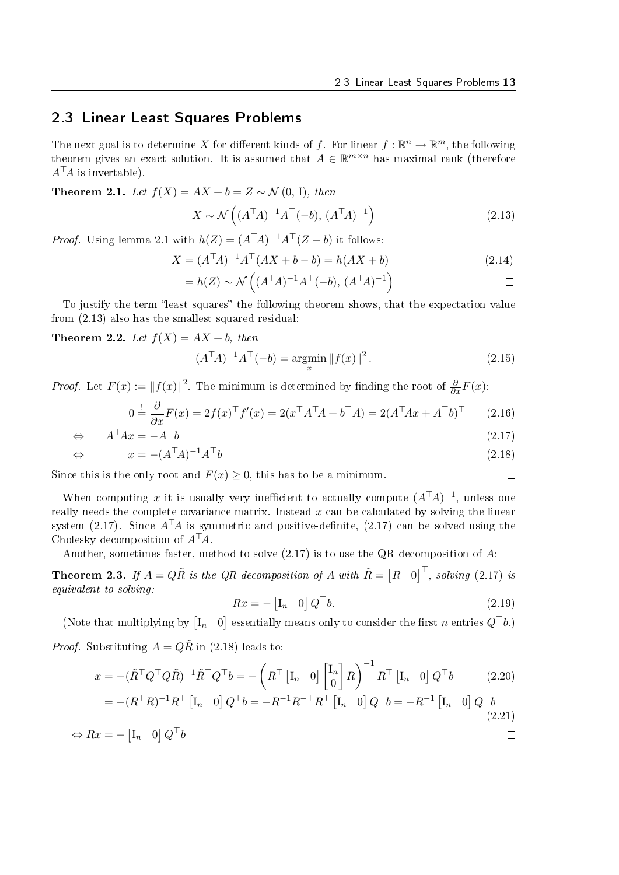<span id="page-16-3"></span><span id="page-16-2"></span> $\Box$ 

## <span id="page-16-0"></span>2.3 Linear Least Squares Problems

The next goal is to determine X for different kinds of f. For linear  $f : \mathbb{R}^n \to \mathbb{R}^m$ , the following theorem gives an exact solution. It is assumed that  $A \in \mathbb{R}^{m \times n}$  has maximal rank (therefore  $A^{\mathsf{T}}A$  is invertable).

<span id="page-16-4"></span>Theorem 2.1. Let  $f(X) = AX + b = Z \sim \mathcal{N}(0, 1)$ , then

<span id="page-16-1"></span>
$$
X \sim \mathcal{N}\left((A^\top A)^{-1} A^\top (-b), (A^\top A)^{-1}\right) \tag{2.13}
$$

*Proof.* Using [lemma 2.1](#page-15-1) with  $h(Z) = (A^{\top}A)^{-1}A^{\top}(Z - b)$  it follows:

$$
X = (ATA)-1AT(AX + b - b) = h(AX + b)
$$
\n(2.14)

$$
= h(Z) \sim \mathcal{N}\left( (A^{\top}A)^{-1}A^{\top}(-b), (A^{\top}A)^{-1} \right)
$$

To justify the term "least squares" the following theorem shows, that the expectation value from [\(2.13\)](#page-16-1) also has the smallest squared residual:

**Theorem 2.2.** Let  $f(X) = AX + b$ , then

$$
(ATA)-1AT(-b) = \underset{x}{\text{argmin}} ||f(x)||2.
$$
 (2.15)

*Proof.* Let  $F(x) := ||f(x)||^2$ . The minimum is determined by finding the root of  $\frac{\partial}{\partial x}F(x)$ :

$$
0 = \frac{\partial}{\partial x} F(x) = 2f(x)^\top f'(x) = 2(x^\top A^\top A + b^\top A) = 2(A^\top A x + A^\top b)^\top \tag{2.16}
$$

$$
\Leftrightarrow \qquad A^\top Ax = -A^\top b \tag{2.17}
$$

$$
\Leftrightarrow \qquad x = -(A^{\top}A)^{-1}A^{\top}b \tag{2.18}
$$

Since this is the only root and  $F(x) \geq 0$ , this has to be a minimum.

When computing x it is usually very inefficient to actually compute  $(A^{\top}A)^{-1}$ , unless one really needs the complete covariance matrix. Instead  $x$  can be calculated by solving the linear system [\(2.17\)](#page-16-2). Since  $A^TA$  is symmetric and positive-definite, (2.17) can be solved using the Cholesky decomposition of  $A^{\mathsf{T}}A$ .

Another, sometimes faster, method to solve  $(2.17)$  is to use the QR decomposition of A:

<span id="page-16-5"></span>**Theorem 2.3.** If  $A = Q\tilde{R}$  is the QR decomposition of  $A$  with  $\tilde{R} = \begin{bmatrix} R & 0 \end{bmatrix}^{\top}$ , solving [\(2.17\)](#page-16-2) is equivalent to solving:

$$
Rx = -\begin{bmatrix} \mathbf{I}_n & 0 \end{bmatrix} Q^{\top} b. \tag{2.19}
$$

(Note that multiplying by  $[I_n \quad 0]$  essentially means only to consider the first n entries  $Q^{\top}b$ .) *Proof.* Substituting  $A = Q\tilde{R}$  in [\(2.18\)](#page-16-3) leads to:

$$
x = -(\tilde{R}^\top Q^\top Q \tilde{R})^{-1} \tilde{R}^\top Q^\top b = -\left(R^\top \begin{bmatrix} \mathbf{I}_n & 0 \end{bmatrix} \begin{bmatrix} \mathbf{I}_n \\ 0 \end{bmatrix} R\right)^{-1} R^\top \begin{bmatrix} \mathbf{I}_n & 0 \end{bmatrix} Q^\top b \tag{2.20}
$$

$$
= -(R^\top R)^{-1} R^\top \begin{bmatrix} \mathbf{I}_n & 0 \end{bmatrix} Q^\top b = -R^{-1} R^\top \begin{bmatrix} \mathbf{I}_n & 0 \end{bmatrix} Q^\top b = -R^{-1} \begin{bmatrix} \mathbf{I}_n & 0 \end{bmatrix} Q^\top b
$$

$$
\Leftrightarrow Rx = -\begin{bmatrix} \mathbf{I}_n & 0 \end{bmatrix} Q^\top b \tag{2.21}
$$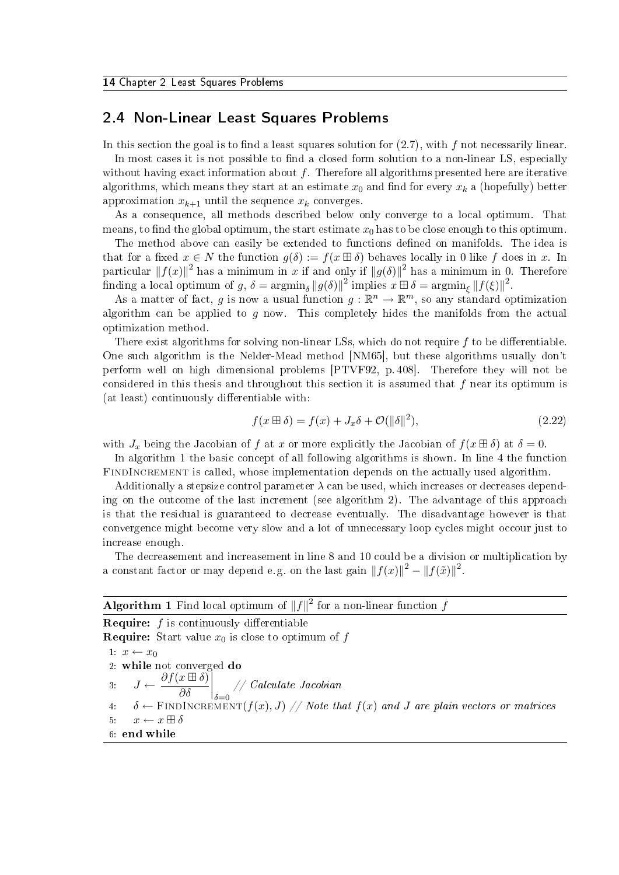14 Chapter 2 Least Squares Problems

## <span id="page-17-0"></span>2.4 Non-Linear Least Squares Problems

In this section the goal is to find a least squares solution for  $(2.7)$ , with f not necessarily linear.

In most cases it is not possible to find a closed form solution to a non-linear [LS,](#page-5-3) especially without having exact information about  $f$ . Therefore all algorithms presented here are iterative algorithms, which means they start at an estimate  $x_0$  and find for every  $x_k$  a (hopefully) better approximation  $x_{k+1}$  until the sequence  $x_k$  converges.

As a consequence, all methods described below only converge to a local optimum. That means, to find the global optimum, the start estimate  $x_0$  has to be close enough to this optimum.

The method above can easily be extended to functions defined on manifolds. The idea is that for a fixed  $x \in N$  the function  $g(\delta) := f(x \boxplus \delta)$  behaves locally in 0 like f does in x. In particular  $|| f(x)||^2$  has a minimum in x if and only if  $|| g(\delta)||^2$  has a minimum in 0. Therefore finding a local optimum of  $g, \delta = \operatorname{argmin}_{\delta} ||g(\delta)||^2$  implies  $x \boxplus \delta = \operatorname{argmin}_{\xi} ||f(\xi)||^2$ .

As a matter of fact, g is now a usual function  $g : \mathbb{R}^n \to \mathbb{R}^m$ , so any standard optimization algorithm can be applied to q now. This completely hides the manifolds from the actual optimization method.

There exist algorithms for solving non-linear [LSs](#page-5-3), which do not require  $f$  to be differentiable. One such algorithm is the Nelder-Mead method [\[NM65\]](#page-53-6), but these algorithms usually don't perform well on high dimensional problems [\[PTVF92,](#page-53-7) p. 408]. Therefore they will not be considered in this thesis and throughout this section it is assumed that f near its optimum is (at least) continuously differentiable with:

$$
f(x \boxplus \delta) = f(x) + J_x \delta + \mathcal{O}(\|\delta\|^2),\tag{2.22}
$$

with  $J_x$  being the Jacobian of f at x or more explicitly the Jacobian of  $f(x \boxplus \delta)$  at  $\delta = 0$ .

In [algorithm 1](#page-17-1) the basic concept of all following algorithms is shown. In [line 4](#page-17-2) the function FINDINCREMENT is called, whose implementation depends on the actually used algorithm.

Additionally a stepsize control parameter  $\lambda$  can be used, which increases or decreases depending on the outcome of the last increment (see [algorithm 2\)](#page-18-1). The advantage of this approach is that the residual is guaranteed to decrease eventually. The disadvantage however is that convergence might become very slow and a lot of unnecessary loop cycles might occour just to increase enough.

The decreasement and increasement in [line 8](#page-18-2) and [10](#page-18-3) could be a division or multiplication by a constant factor or may depend e.g. on the last gain  $||f(x)||^2 - ||f(\tilde{x})||^2$ .

<span id="page-17-3"></span><span id="page-17-2"></span><span id="page-17-1"></span>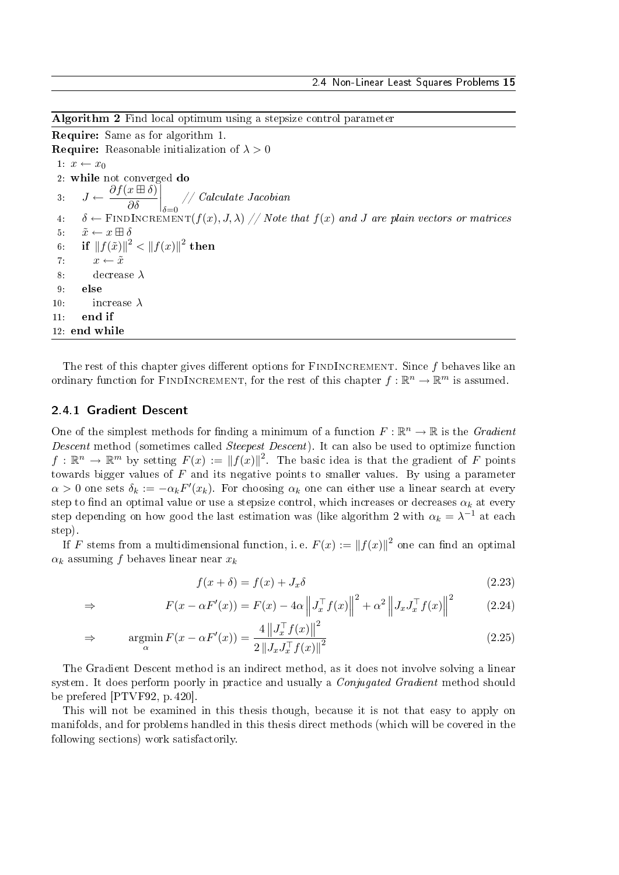<span id="page-18-1"></span>Algorithm 2 Find local optimum using a stepsize control parameter

Require: Same as for [algorithm 1.](#page-17-1) **Require:** Reasonable initialization of  $\lambda > 0$ 1:  $x \leftarrow x_0$ 2: while not converged do 3:  $J \leftarrow \frac{\partial f(x \boxplus \delta)}{\partial s}$  $\partial \delta$  $\Big|_{\delta=0}$ // Calculate Jacobian 4:  $\delta \leftarrow \text{FINDINCREMENT}(f(x), J, \lambda)$  // Note that  $f(x)$  and J are plain vectors or matrices 5:  $\tilde{x} \leftarrow x \boxplus \delta$ 6: if  $|| f( \tilde{x} ) ||^2 < || f( x ) ||^2$  then 7:  $x \leftarrow \tilde{x}$ 8: decrease  $\lambda$ 9: else 10: increase  $\lambda$ 11: end if 12: end while

<span id="page-18-3"></span><span id="page-18-2"></span>The rest of this chapter gives different options for  $FINDINOREMENT$ . Since  $f$  behaves like an ordinary function for FINDINCREMENT, for the rest of this chapter  $f : \mathbb{R}^n \to \mathbb{R}^m$  is assumed.

#### <span id="page-18-0"></span>2.4.1 Gradient Descent

One of the simplest methods for finding a minimum of a function  $F : \mathbb{R}^n \to \mathbb{R}$  is the *Gradient* Descent method (sometimes called *Steepest Descent*). It can also be used to optimize function  $f: \mathbb{R}^n \to \mathbb{R}^m$  by setting  $F(x) := ||f(x)||^2$ . The basic idea is that the gradient of F points towards bigger values of  $F$  and its negative points to smaller values. By using a parameter  $\alpha > 0$  one sets  $\delta_k := -\alpha_k F'(x_k)$ . For choosing  $\alpha_k$  one can either use a linear search at every step to find an optimal value or use a stepsize control, which increases or decreases  $\alpha_k$  at every step depending on how good the last estimation was (like [algorithm 2](#page-18-1) with  $\alpha_k = \lambda^{-1}$  at each step).

If F stems from a multidimensional function, i.e.  $F(x) := \|f(x)\|^2$  one can find an optimal  $\alpha_k$  assuming f behaves linear near  $x_k$ 

$$
f(x+\delta) = f(x) + J_x \delta \tag{2.23}
$$

$$
\Rightarrow \qquad F(x - \alpha F'(x)) = F(x) - 4\alpha \left\| J_x^\top f(x) \right\|^2 + \alpha^2 \left\| J_x J_x^\top f(x) \right\|^2 \tag{2.24}
$$

$$
\Rightarrow \quad \operatorname*{argmin}_{\alpha} F(x - \alpha F'(x)) = \frac{4 \|J_x^{\top} f(x)\|^2}{2 \|J_x J_x^{\top} f(x)\|^2}
$$
\n(2.25)

The Gradient Descent method is an indirect method, as it does not involve solving a linear system. It does perform poorly in practice and usually a *Conjugated Gradient* method should be prefered [\[PTVF92,](#page-53-7) p. 420].

This will not be examined in this thesis though, because it is not that easy to apply on manifolds, and for problems handled in this thesis direct methods (which will be covered in the following sections) work satisfactorily.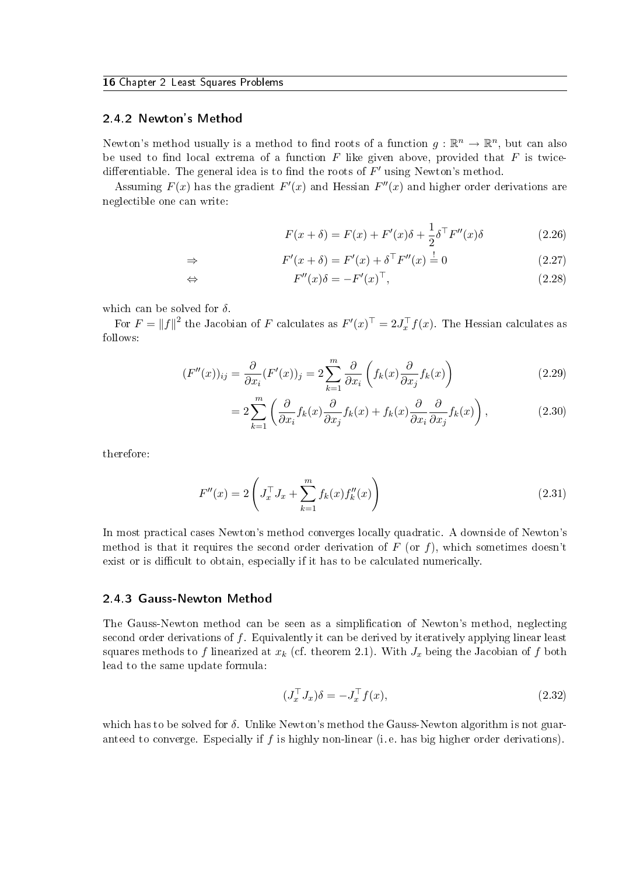#### 16 Chapter 2 Least Squares Problems

#### <span id="page-19-0"></span>2.4.2 Newton's Method

Newton's method usually is a method to find roots of a function  $g: \mathbb{R}^n \to \mathbb{R}^n$ , but can also be used to find local extrema of a function  $F$  like given above, provided that  $F$  is twicedifferentiable. The general idea is to find the roots of  $F'$  using Newton's method.

Assuming  $F(x)$  has the gradient  $F'(x)$  and Hessian  $F''(x)$  and higher order derivations are neglectible one can write:

$$
F(x+\delta) = F(x) + F'(x)\delta + \frac{1}{2}\delta^{\top}F''(x)\delta
$$
\n(2.26)

$$
\Rightarrow \qquad F'(x+\delta) = F'(x) + \delta^\top F''(x) \stackrel{!}{=} 0 \tag{2.27}
$$

$$
\Leftrightarrow \qquad F''(x)\delta = -F'(x)^{\top},\tag{2.28}
$$

which can be solved for  $\delta$ .

For  $F = ||f||^2$  the Jacobian of F calculates as  $F'(x)^\top = 2J_x^\top f(x)$ . The Hessian calculates as follows:

$$
(F''(x))_{ij} = \frac{\partial}{\partial x_i} (F'(x))_j = 2 \sum_{k=1}^m \frac{\partial}{\partial x_i} \left( f_k(x) \frac{\partial}{\partial x_j} f_k(x) \right)
$$
(2.29)

$$
=2\sum_{k=1}^{m}\left(\frac{\partial}{\partial x_i}f_k(x)\frac{\partial}{\partial x_j}f_k(x)+f_k(x)\frac{\partial}{\partial x_i}\frac{\partial}{\partial x_j}f_k(x)\right),\tag{2.30}
$$

therefore:

$$
F''(x) = 2\left(J_x^{\top} J_x + \sum_{k=1}^{m} f_k(x) f_k''(x)\right)
$$
\n(2.31)

In most practical cases Newton's method converges locally quadratic. A downside of Newton's method is that it requires the second order derivation of  $F$  (or  $f$ ), which sometimes doesn't exist or is difficult to obtain, especially if it has to be calculated numerically.

#### <span id="page-19-1"></span>2.4.3 Gauss-Newton Method

The Gauss-Newton method can be seen as a simplication of Newton's method, neglecting second order derivations of f. Equivalently it can be derived by iteratively applying linear least squares methods to f linearized at  $x_k$  (cf. [theorem 2.1\)](#page-16-4). With  $J_x$  being the Jacobian of f both lead to the same update formula:

$$
(J_x^\top J_x)\delta = -J_x^\top f(x),\tag{2.32}
$$

which has to be solved for  $\delta$ . Unlike Newton's method the Gauss-Newton algorithm is not guaranteed to converge. Especially if  $f$  is highly non-linear (i.e. has big higher order derivations).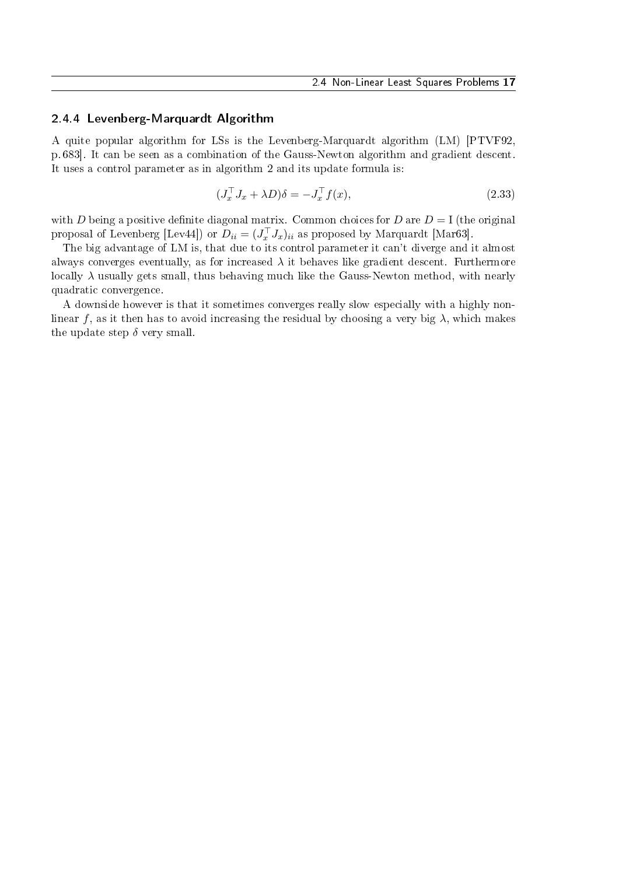#### <span id="page-20-0"></span>2.4.4 Levenberg-Marquardt Algorithm

A quite popular algorithm for [LSs](#page-5-3) is the Levenberg-Marquardt algorithm [\(LM\)](#page-5-4) [\[PTVF92,](#page-53-7) p. 683]. It can be seen as a combination of the Gauss-Newton algorithm and gradient descent. It uses a control parameter as in [algorithm 2](#page-18-1) and its update formula is:

$$
(J_x^\top J_x + \lambda D)\delta = -J_x^\top f(x),\tag{2.33}
$$

with D being a positive definite diagonal matrix. Common choices for D are  $D = I$  (the original proposal of Levenberg [\[Lev44\]](#page-52-6)) or  $D_{ii} = (J_x^\top J_x)_{ii}$  as proposed by Marquardt [\[Mar63\]](#page-52-7).

The big advantage of [LM](#page-5-4) is, that due to its control parameter it can't diverge and it almost always converges eventually, as for increased  $\lambda$  it behaves like gradient descent. Furthermore locally  $\lambda$  usually gets small, thus behaving much like the Gauss-Newton method, with nearly quadratic convergence.

A downside however is that it sometimes converges really slow especially with a highly nonlinear f, as it then has to avoid increasing the residual by choosing a very big  $\lambda$ , which makes the update step  $\delta$  very small.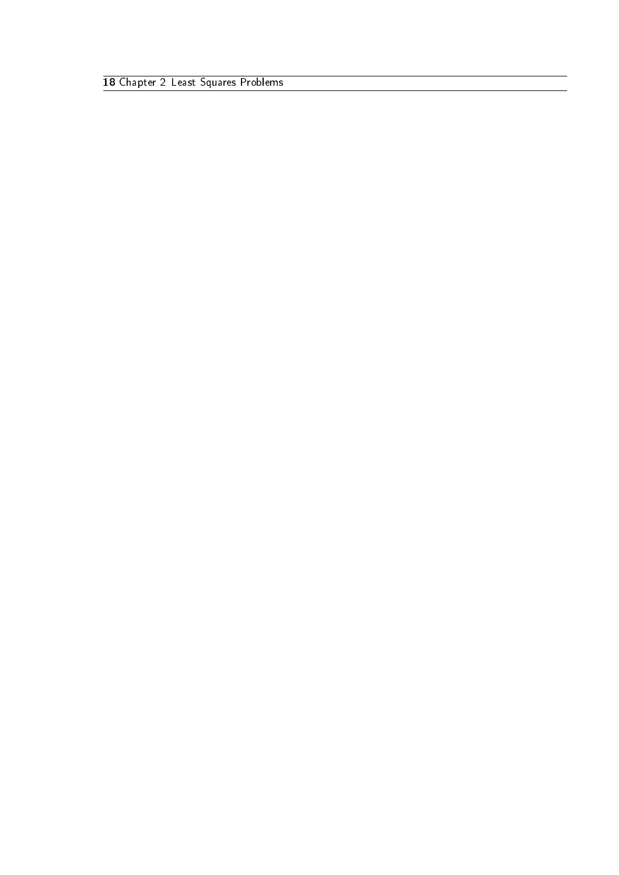Chapter 2 Least Squares Problems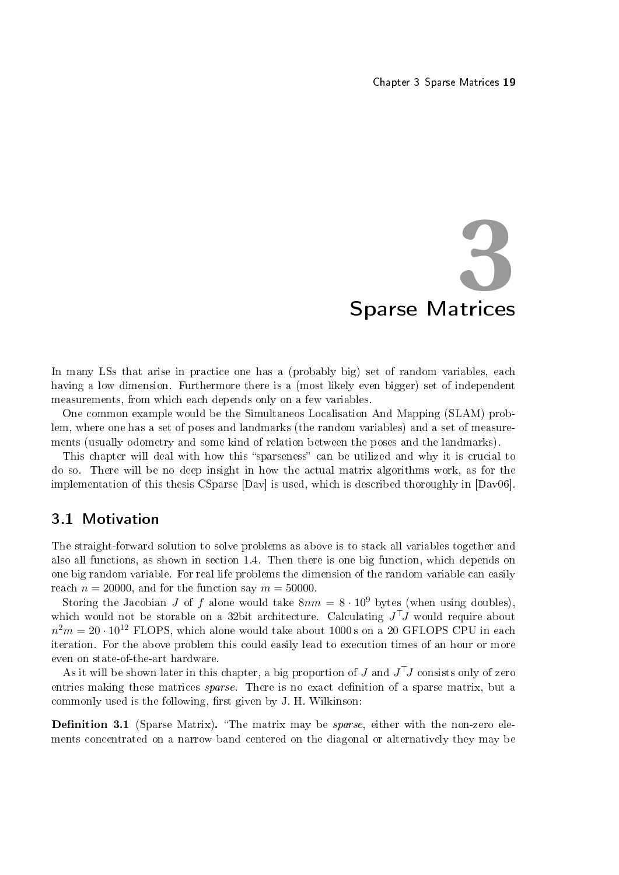# Sparse Matrices **3**

<span id="page-22-0"></span>In many [LSs](#page-5-3) that arise in practice one has a (probably big) set of random variables, each having a low dimension. Furthermore there is a (most likely even bigger) set of independent measurements, from which each depends only on a few variables.

One common example would be the Simultaneos Localisation And Mapping [\(SLAM\)](#page-5-5) problem, where one has a set of poses and landmarks (the random variables) and a set of measurements (usually odometry and some kind of relation between the poses and the landmarks).

This chapter will deal with how this "sparseness" can be utilized and why it is crucial to do so. There will be no deep insight in how the actual matrix algorithms work, as for the implementation of this thesis CSparse [\[Dav\]](#page-52-8) is used, which is described thoroughly in [\[Dav06\]](#page-52-9).

## <span id="page-22-1"></span>3.1 Motivation

The straight-forward solution to solve problems as above is to stack all variables together and also all functions, as shown in [section 1.4.](#page-10-0) Then there is one big function, which depends on one big random variable. For real life problems the dimension of the random variable can easily reach  $n = 20000$ , and for the function say  $m = 50000$ .

Storing the Jacobian J of f alone would take  $8nm = 8 \cdot 10^9$  bytes (when using doubles), which would not be storable on a 32bit architecture. Calculating  $J^{\top}J$  would require about  $n^2m = 20 \cdot 10^{12}$  FLOPS, which alone would take about 1000s on a 20 GFLOPS CPU in each iteration. For the above problem this could easily lead to execution times of an hour or more even on state-of-the-art hardware.

As it will be shown later in this chapter, a big proportion of  $J$  and  $J^{\top}J$  consists only of zero entries making these matrices *sparse*. There is no exact definition of a sparse matrix, but a commonly used is the following, first given by J. H. Wilkinson:

**Definition 3.1** (Sparse Matrix). "The matrix may be *sparse*, either with the non-zero elements concentrated on a narrow band centered on the diagonal or alternatively they may be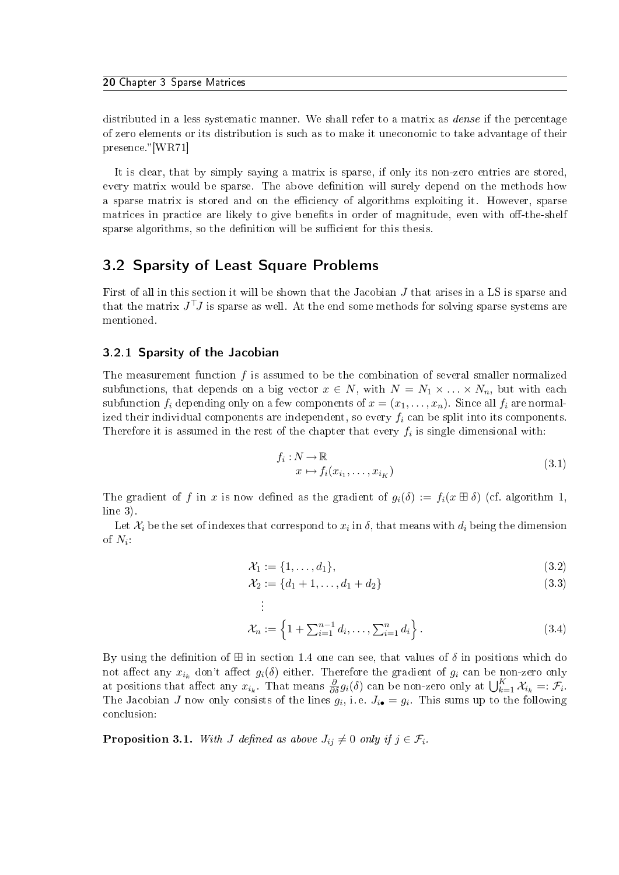#### 20 Chapter 3 Sparse Matrices

distributed in a less systematic manner. We shall refer to a matrix as *dense* if the percentage of zero elements or its distribution is such as to make it uneconomic to take advantage of their presence."[\[WR71\]](#page-53-8)

It is clear, that by simply saying a matrix is sparse, if only its non-zero entries are stored, every matrix would be sparse. The above definition will surely depend on the methods how a sparse matrix is stored and on the efficiency of algorithms exploiting it. However, sparse matrices in practice are likely to give benefits in order of magnitude, even with off-the-shelf sparse algorithms, so the definition will be sufficient for this thesis.

## <span id="page-23-0"></span>3.2 Sparsity of Least Square Problems

First of all in this section it will be shown that the Jacobian J that arises in a [LS](#page-5-3) is sparse and that the matrix  $J^{\top}J$  is sparse as well. At the end some methods for solving sparse systems are mentioned.

#### <span id="page-23-1"></span>3.2.1 Sparsity of the Jacobian

The measurement function  $f$  is assumed to be the combination of several smaller normalized subfunctions, that depends on a big vector  $x \in N$ , with  $N = N_1 \times \ldots \times N_n$ , but with each subfunction  $f_i$  depending only on a few components of  $x = (x_1, \ldots, x_n)$ . Since all  $f_i$  are normalized their individual components are independent, so every  $f_i$  can be split into its components. Therefore it is assumed in the rest of the chapter that every  $f_i$  is single dimensional with:

$$
f_i: N \to \mathbb{R}
$$
  

$$
x \mapsto f_i(x_{i_1}, \dots, x_{i_K})
$$
 (3.1)

The gradient of f in x is now defined as the gradient of  $g_i(\delta) := f_i(x \boxplus \delta)$  (cf. [algorithm 1,](#page-17-1) [line 3\)](#page-17-3).

Let  $\mathcal{X}_i$  be the set of indexes that correspond to  $x_i$  in  $\delta,$  that means with  $d_i$  being the dimension of  $N_i$ 

$$
\mathcal{X}_1 := \{1, \dots, d_1\},\tag{3.2}
$$

$$
\mathcal{X}_2 := \{d_1 + 1, \dots, d_1 + d_2\} \tag{3.3}
$$

$$
\mathcal{X}_n := \left\{ 1 + \sum_{i=1}^{n-1} d_i, \dots, \sum_{i=1}^n d_i \right\}.
$$
 (3.4)

By using the definition of  $\boxplus$  in [section 1.4](#page-10-0) one can see, that values of  $\delta$  in positions which do not affect any  $x_{i_k}$  don't affect  $g_i(\delta)$  either. Therefore the gradient of  $g_i$  can be non-zero only at positions that affect any  $x_{i_k}$ . That means  $\frac{\partial}{\partial \delta} g_i(\delta)$  can be non-zero only at  $\bigcup_{k=1}^K \mathcal{X}_{i_k} =: \mathcal{F}_i$ . The Jacobian J now only consists of the lines  $g_i$ , i.e.  $J_{i\bullet} = g_i$ . This sums up to the following conclusion:

**Proposition 3.1.** With J defined as above  $J_{ij} \neq 0$  only if  $j \in \mathcal{F}_i$ .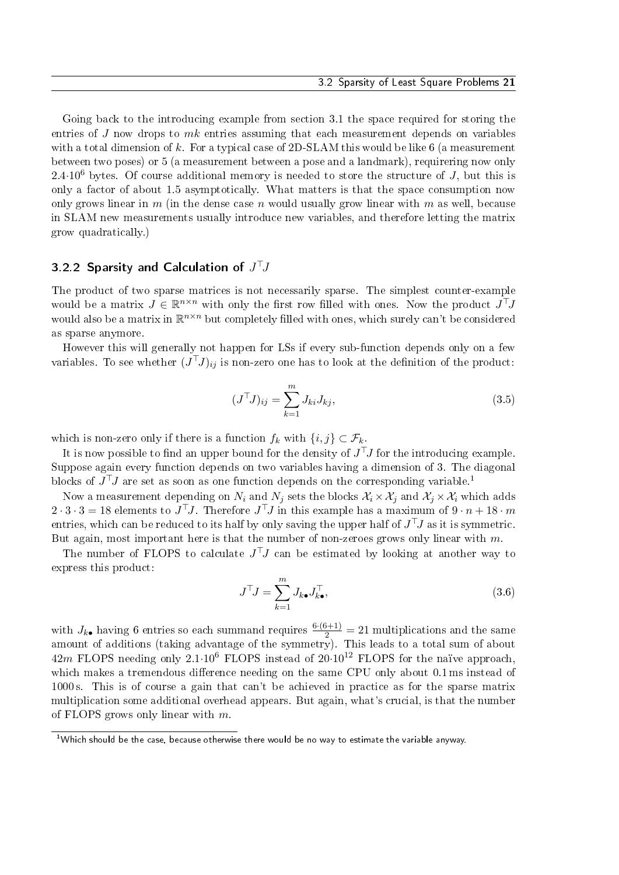Going back to the introducing example from [section 3.1](#page-22-1) the space required for storing the entries of  $J$  now drops to  $mk$  entries assuming that each measurement depends on variables with a total dimension of  $k$ . For a typical case of 2D-SLAM this would be like 6 (a measurement between two poses) or 5 (a measurement between a pose and a landmark), requirering now only  $2.4\cdot10^6$  bytes. Of course additional memory is needed to store the structure of J, but this is only a factor of about 1.5 asymptotically. What matters is that the space consumption now only grows linear in m (in the dense case n would usually grow linear with m as well, because in SLAM new measurements usually introduce new variables, and therefore letting the matrix grow quadratically.)

## <span id="page-24-0"></span>3.2.2 Sparsity and Calculation of  $J^{\top}\!J$

The product of two sparse matrices is not necessarily sparse. The simplest counter-example would be a matrix  $J \in \mathbb{R}^{n \times n}$  with only the first row filled with ones. Now the product  $J^{\top}J$ would also be a matrix in  $\mathbb{R}^{n \times n}$  but completely filled with ones, which surely can't be considered as sparse anymore.

However this will generally not happen for [LSs](#page-5-3) if every sub-function depends only on a few variables. To see whether  $(J^\top\!J)_{ij}$  is non-zero one has to look at the definition of the product:

$$
(J^{\top}J)_{ij} = \sum_{k=1}^{m} J_{ki} J_{kj},
$$
\n(3.5)

which is non-zero only if there is a function  $f_k$  with  $\{i, j\} \subset \mathcal{F}_k$ .

It is now possible to find an upper bound for the density of  $J^{\top}J$  for the introducing example. Suppose again every function depends on two variables having a dimension of 3. The diagonal blocks of  $\tilde{J}^{\top}J$  are set as soon as one function depends on the corresponding variable.<sup>[1](#page-24-1)</sup>

Now a measurement depending on  $N_i$  and  $N_j$  sets the blocks  $\mathcal{X}_i \times \mathcal{X}_j$  and  $\mathcal{X}_j \times \mathcal{X}_i$  which adds  $2 \cdot 3 \cdot 3 = 18$  elements to  $J^{\top}J$ . Therefore  $J^{\top}J$  in this example has a maximum of  $9 \cdot n + 18 \cdot m$ entries, which can be reduced to its half by only saving the upper half of  $J^\top\!J$  as it is symmetric. But again, most important here is that the number of non-zeroes grows only linear with  $m$ .

The number of FLOPS to calculate  $J^{\top}\!J$  can be estimated by looking at another way to express this product:

$$
J^{\top}J = \sum_{k=1}^{m} J_{k\bullet} J_{k\bullet}^{\top},\tag{3.6}
$$

with  $J_{k\bullet}$  having 6 entries so each summand requires  $\frac{6\cdot(6+1)}{2} = 21$  multiplications and the same amount of additions (taking advantage of the symmetry). This leads to a total sum of about  $42m$  FLOPS needing only  $2.1\cdot10^6$  FLOPS instead of  $20\cdot10^{12}$  FLOPS for the naïve approach, which makes a tremendous difference needing on the same CPU only about  $0.1 \text{ ms}$  instead of 1000 s. This is of course a gain that can't be achieved in practice as for the sparse matrix multiplication some additional overhead appears. But again, what's crucial, is that the number of FLOPS grows only linear with  $m$ .

<span id="page-24-1"></span><sup>&</sup>lt;sup>1</sup>Which should be the case, because otherwise there would be no way to estimate the variable anyway.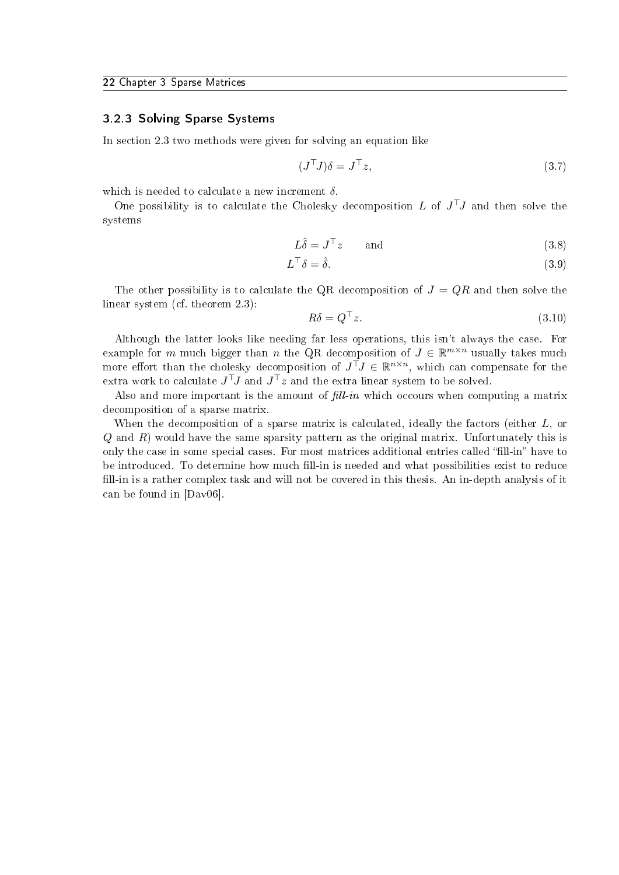#### <span id="page-25-0"></span>3.2.3 Solving Sparse Systems

In [section 2.3](#page-16-0) two methods were given for solving an equation like

$$
(J^{\top}J)\delta = J^{\top}z,\tag{3.7}
$$

which is needed to calculate a new increment  $\delta$ .

One possibility is to calculate the Cholesky decomposition L of  $J^{\top}J$  and then solve the systems

$$
L\hat{\delta} = J^{\top} z \qquad \text{and} \tag{3.8}
$$

$$
L^{\top}\delta = \hat{\delta}.\tag{3.9}
$$

The other possibility is to calculate the QR decomposition of  $J = QR$  and then solve the linear system (cf. [theorem 2.3\)](#page-16-5):

$$
R\delta = Q^{\top}z.\tag{3.10}
$$

Although the latter looks like needing far less operations, this isn't always the case. For example for m much bigger than n the QR decomposition of  $J \in \mathbb{R}^{m \times n}$  usually takes much more effort than the cholesky decomposition of  $J^{\top}J \in \mathbb{R}^{n \times n}$ , which can compensate for the extra work to calculate  $J^\top\!J$  and  $J^\top z$  and the extra linear system to be solved.

Also and more important is the amount of  $\text{fill-in}$  which occours when computing a matrix decomposition of a sparse matrix.

When the decomposition of a sparse matrix is calculated, ideally the factors (either L, or  $Q$  and  $R$ ) would have the same sparsity pattern as the original matrix. Unfortunately this is only the case in some special cases. For most matrices additional entries called "fill-in" have to be introduced. To determine how much fill-in is needed and what possibilities exist to reduce fill-in is a rather complex task and will not be covered in this thesis. An in-depth analysis of it can be found in [\[Dav06\]](#page-52-9).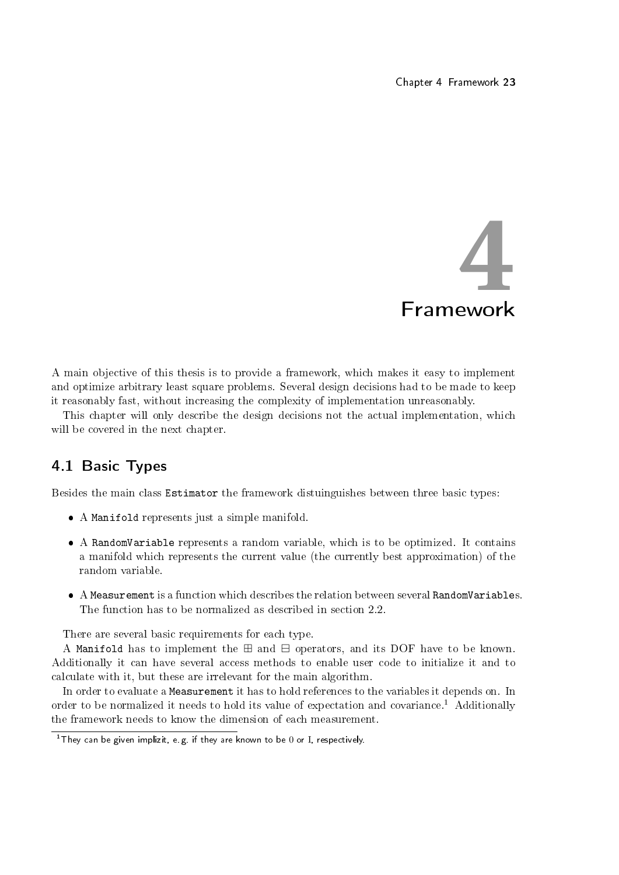

<span id="page-26-0"></span>A main objective of this thesis is to provide a framework, which makes it easy to implement and optimize arbitrary least square problems. Several design decisions had to be made to keep it reasonably fast, without increasing the complexity of implementation unreasonably.

This chapter will only describe the design decisions not the actual implementation, which will be covered in the next chapter.

## <span id="page-26-1"></span>4.1 Basic Types

Besides the main class Estimator the framework distuinguishes between three basic types:

- A Manifold represents just a simple manifold.
- A RandomVariable represents a random variable, which is to be optimized. It contains a manifold which represents the current value (the currently best approximation) of the random variable.
- A Measurement is a function which describes the relation between several RandomVariables. The function has to be normalized as described in [section 2.2.](#page-15-0)

There are several basic requirements for each type.

A Manifold has to implement the  $\boxplus$  and  $\boxminus$  operators, and its [DOF](#page-5-2) have to be known. Additionally it can have several access methods to enable user code to initialize it and to calculate with it, but these are irrelevant for the main algorithm.

In order to evaluate a Measurement it has to hold references to the variables it depends on. In order to be normalized it needs to hold its value of expectation and covariance.<sup>[1](#page-26-2)</sup> Additionally the framework needs to know the dimension of each measurement.

<span id="page-26-2"></span><sup>&</sup>lt;sup>1</sup>They can be given implizit, e. g. if they are known to be  $0$  or I, respectively.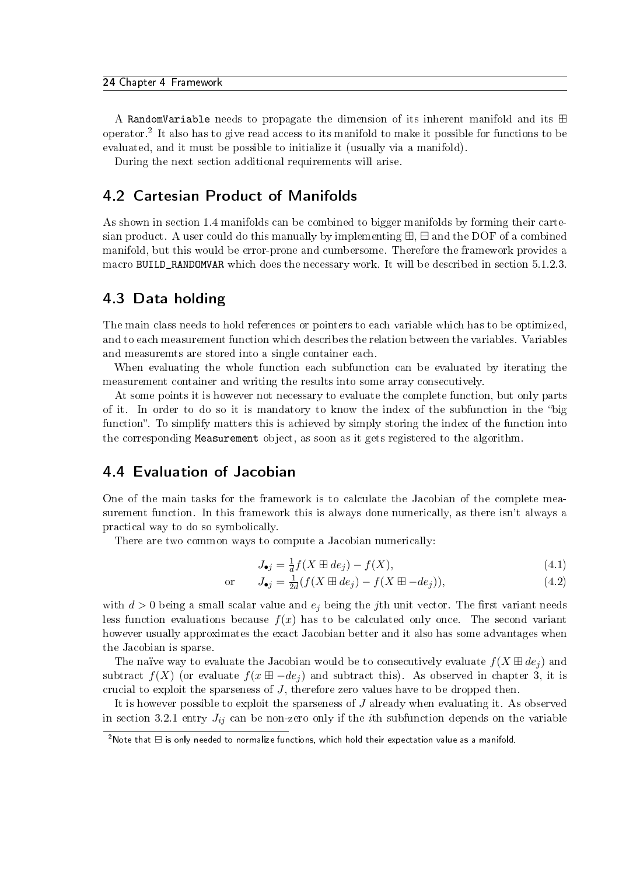A RandomVariable needs to propagate the dimension of its inherent manifold and its  $\boxplus$ operator.[2](#page-27-3) It also has to give read access to its manifold to make it possible for functions to be evaluated, and it must be possible to initialize it (usually via a manifold).

During the next section additional requirements will arise.

## <span id="page-27-0"></span>4.2 Cartesian Product of Manifolds

As shown in [section 1.4](#page-10-0) manifolds can be combined to bigger manifolds by forming their cartesian product. A user could do this manually by implementing  $\boxplus$ ,  $\boxplus$  and the [DOF](#page-5-2) of a combined manifold, but this would be error-prone and cumbersome. Therefore the framework provides a macro BUILD\_RANDOMVAR which does the necessary work. It will be described in [section 5.1.2.3.](#page-32-0)

## <span id="page-27-1"></span>4.3 Data holding

The main class needs to hold references or pointers to each variable which has to be optimized, and to each measurement function which describes the relation between the variables. Variables and measuremts are stored into a single container each.

When evaluating the whole function each subfunction can be evaluated by iterating the measurement container and writing the results into some array consecutively.

At some points it is however not necessary to evaluate the complete function, but only parts of it. In order to do so it is mandatory to know the index of the subfunction in the "big function". To simplify matters this is achieved by simply storing the index of the function into the corresponding Measurement object, as soon as it gets registered to the algorithm.

## <span id="page-27-2"></span>4.4 Evaluation of Jacobian

One of the main tasks for the framework is to calculate the Jacobian of the complete measurement function. In this framework this is always done numerically, as there isn't always a practical way to do so symbolically.

There are two common ways to compute a Jacobian numerically:

$$
J_{\bullet j} = \frac{1}{d} f(X \boxplus de_j) - f(X), \tag{4.1}
$$

or 
$$
J_{\bullet j} = \frac{1}{2d}(f(X \boxplus de_j) - f(X \boxplus -de_j)), \qquad (4.2)
$$

with  $d > 0$  being a small scalar value and  $e_j$  being the jth unit vector. The first variant needs less function evaluations because  $f(x)$  has to be calculated only once. The second variant however usually approximates the exact Jacobian better and it also has some advantages when the Jacobian is sparse.

The naïve way to evaluate the Jacobian would be to consecutively evaluate  $f(X \boxplus de_i)$  and subtract  $f(X)$  (or evaluate  $f(x \boxplus -de_i)$  and subtract this). As observed in [chapter 3,](#page-22-0) it is crucial to exploit the sparseness of  $J$ , therefore zero values have to be dropped then.

It is however possible to exploit the sparseness of  $J$  already when evaluating it. As observed in [section 3.2.1](#page-23-1) entry  $J_{ij}$  can be non-zero only if the *i*th subfunction depends on the variable

<span id="page-27-3"></span> $\overline{a^2}$ Note that  $\overline{\boxplus}$  is only needed to normalize functions, which hold their expectation value as a manifold.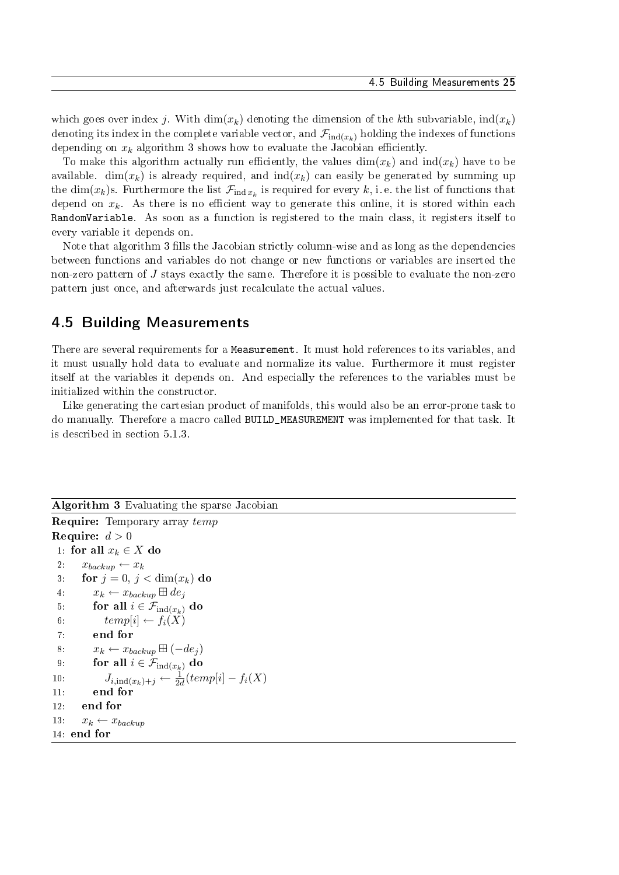which goes over index j. With  $\dim(x_k)$  denoting the dimension of the kth subvariable,  $\text{ind}(x_k)$ denoting its index in the complete variable vector, and  $\mathcal{F}_{ind(x_k)}$  holding the indexes of functions depending on  $x_k$  [algorithm 3](#page-28-1) shows how to evaluate the Jacobian efficiently.

To make this algorithm actually run efficiently, the values  $\dim(x_k)$  and  $\mathrm{ind}(x_k)$  have to be available. dim( $x_k$ ) is already required, and ind( $x_k$ ) can easily be generated by summing up the  $\dim(x_k)$ s. Furthermore the list  $\mathcal{F}_{\mathrm{ind}\,x_k}$  is required for every  $k,$  i.e. the list of functions that depend on  $x_k$ . As there is no efficient way to generate this online, it is stored within each RandomVariable. As soon as a function is registered to the main class, it registers itself to every variable it depends on.

Note that [algorithm 3](#page-28-1) fills the Jacobian strictly column-wise and as long as the dependencies between functions and variables do not change or new functions or variables are inserted the non-zero pattern of J stays exactly the same. Therefore it is possible to evaluate the non-zero pattern just once, and afterwards just recalculate the actual values.

## <span id="page-28-0"></span>4.5 Building Measurements

There are several requirements for a Measurement. It must hold references to its variables, and it must usually hold data to evaluate and normalize its value. Furthermore it must register itself at the variables it depends on. And especially the references to the variables must be initialized within the constructor.

Like generating the cartesian product of manifolds, this would also be an error-prone task to do manually. Therefore a macro called BUILD\_MEASUREMENT was implemented for that task. It is described in [section 5.1.3.](#page-33-0)

```
Algorithm 3 Evaluating the sparse Jacobian
Require: Temporary array temp
Require: d > 01: for all x_k \in X do
 2: x_{\text{backup}} \leftarrow x_k3: for j = 0, j < \dim(x_k) do
 4: x_k \leftarrow x_{backup} \boxplus de_j5: for all i \in \mathcal{F}_{ind(x_k)} do
 6: temp[i] \leftarrow f_i(X)7: end for
 8: x_k \leftarrow x_{backup} \boxplus (-de_j)9: for all i \in \mathcal{F}_{\mathrm{ind}(x_k)} do
10: J_{i,\mathrm{ind}(x_k)+j} \leftarrow \frac{1}{2d}(temp[i] - f_i(X))11: end for
12: end for
13: x_k \leftarrow x_{backup}14: end for
```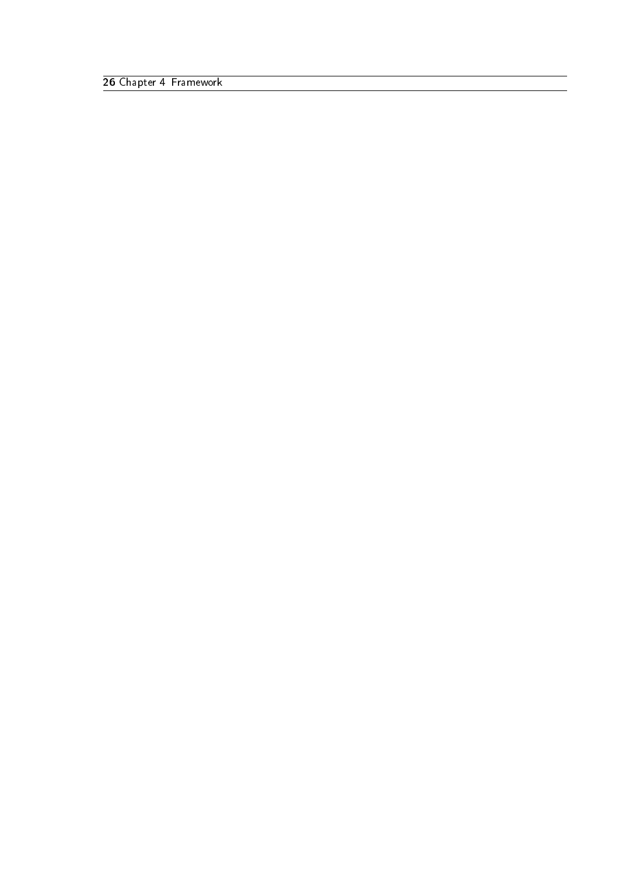Chapter 4 Framework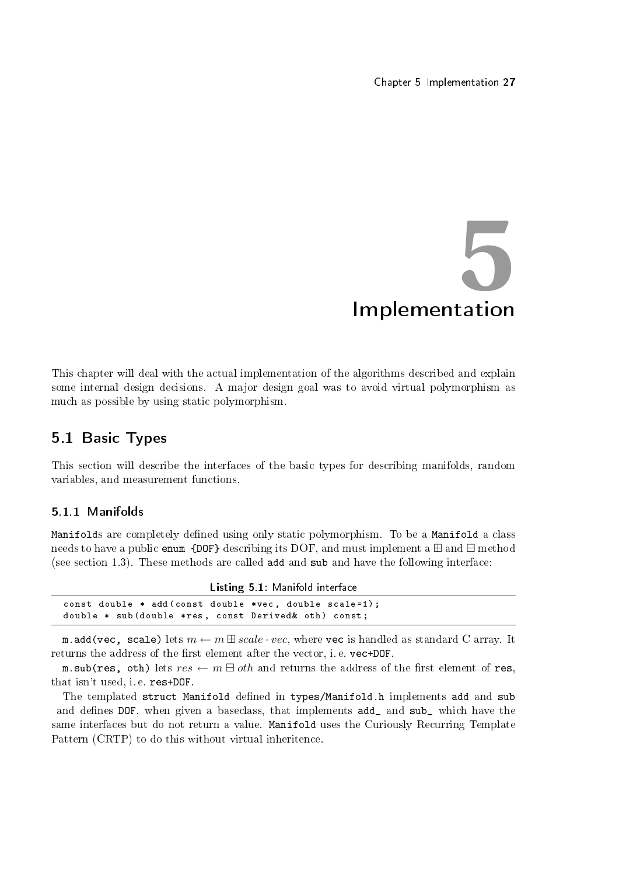# Implementation **5**

<span id="page-30-0"></span>This chapter will deal with the actual implementation of the algorithms described and explain some internal design decisions. A major design goal was to avoid virtual polymorphism as much as possible by using static polymorphism.

## <span id="page-30-1"></span>5.1 Basic Types

This section will describe the interfaces of the basic types for describing manifolds, random variables, and measurement functions.

## <span id="page-30-2"></span>5.1.1 Manifolds

Manifolds are completely defined using only static polymorphism. To be a Manifold a class needs to have a public enum {DOF} describing its [DOF,](#page-5-2) and must implement a  $\boxplus$  and  $\boxminus$  method (see [section 1.3\)](#page-8-0). These methods are called add and sub and have the following interface:

| Listing 5.1: Manifold interface                                                                                  |
|------------------------------------------------------------------------------------------------------------------|
| const double * add (const double *vec, double scale=1);<br>double * sub (double *res, const Derived& oth) const; |

m.add(vec, scale) lets  $m \leftarrow m \boxplus scale \cdot vec$ , where vec is handled as standard C array. It returns the address of the first element after the vector, i.e. vec+DOF.

m.sub(res, oth) lets  $res \leftarrow m \boxminus oth$  and returns the address of the first element of res, that isn't used, i. e. res+DOF.

The templated struct Manifold defined in types/Manifold.h implements add and sub and defines DOF, when given a baseclass, that implements add and sub which have the same interfaces but do not return a value. Manifold uses the Curiously Recurring Template Pattern [\(CRTP\)](#page-5-6) to do this without virtual inheritence.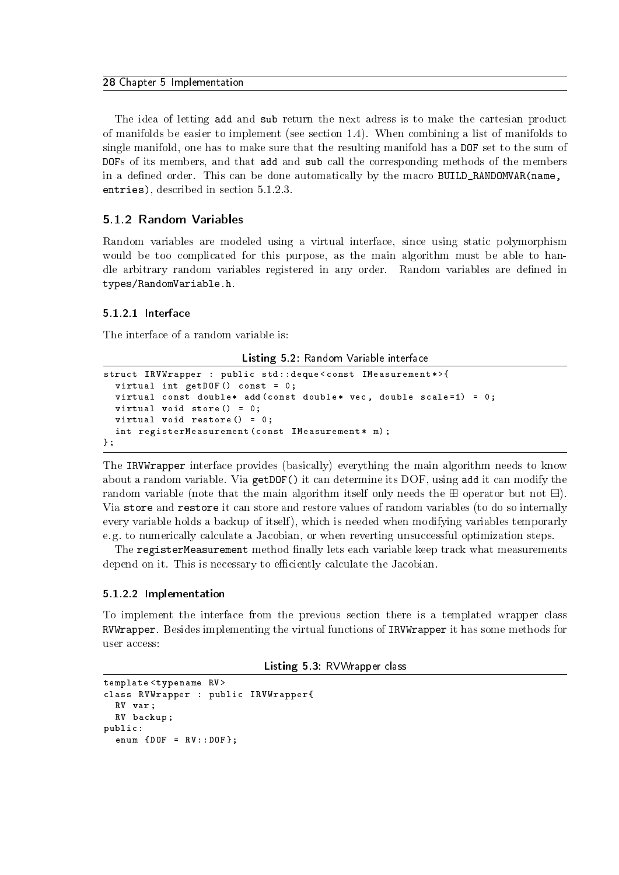#### 28 Chapter 5 Implementation

The idea of letting add and sub return the next adress is to make the cartesian product of manifolds be easier to implement (see [section 1.4\)](#page-10-0). When combining a list of manifolds to single manifold, one has to make sure that the resulting manifold has a DOF set to the sum of DOFs of its members, and that add and sub call the corresponding methods of the members in a defined order. This can be done automatically by the macro BUILD\_RANDOMVAR(name, entries), described in [section 5.1.2.3.](#page-32-0)

## <span id="page-31-0"></span>5.1.2 Random Variables

Random variables are modeled using a virtual interface, since using static polymorphism would be too complicated for this purpose, as the main algorithm must be able to handle arbitrary random variables registered in any order. Random variables are dened in types/RandomVariable.h.

#### <span id="page-31-1"></span>5.1.2.1 Interface

The interface of a random variable is:

Listing 5.2: Random Variable interface

```
struct IRVWrapper : public std:: deque<const IMeasurement *> {
 virtual int getDOF () const = 0;
 virtual const double* add (const double* vec, double scale=1) = 0;
 virtual void store () = 0;
 virtual void restore () = 0;int registerMeasurement (const IMeasurement* m);
};
```
The IRVWrapper interface provides (basically) everything the main algorithm needs to know about a random variable. Via getDOF() it can determine its [DOF,](#page-5-2) using add it can modify the random variable (note that the main algorithm itself only needs the  $\boxplus$  operator but not  $\boxminus$ ). Via store and restore it can store and restore values of random variables (to do so internally every variable holds a backup of itself), which is needed when modifying variables temporarly e. g. to numerically calculate a Jacobian, or when reverting unsuccessful optimization steps.

The registerMeasurement method finally lets each variable keep track what measurements depend on it. This is necessary to efficiently calculate the Jacobian.

#### <span id="page-31-2"></span>5.1.2.2 Implementation

To implement the interface from the previous section there is a templated wrapper class RVWrapper. Besides implementing the virtual functions of IRVWrapper it has some methods for user access:

Listing 5.3: RVWrapper class

```
template < typename RV >
class RVWrapper : public IRVWrapper {
  RV var ;
 RV backup ;
public :
  enum { DOF = RV :: DOF };
```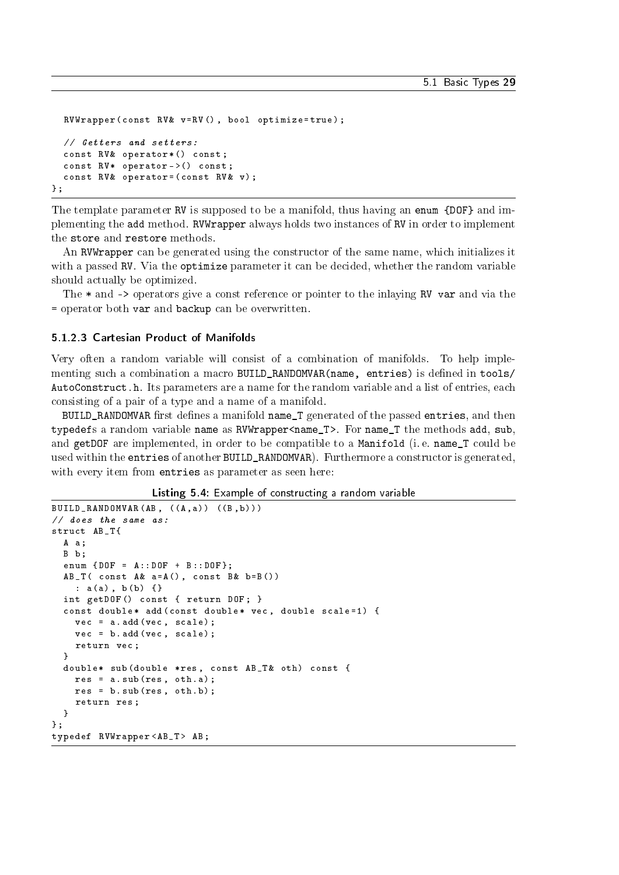```
RVWrapper ( const RV& v = RV ( ), bool optimize = true );
  // Getters and setters :
  const RV& operator *( ) const;
  const RV* operator ->() const;
  const RV& operator = ( const RV& v);
};
```
The template parameter RV is supposed to be a manifold, thus having an enum {DOF} and implementing the add method. RVWrapper always holds two instances of RV in order to implement the store and restore methods.

An RVWrapper can be generated using the constructor of the same name, which initializes it with a passed RV. Via the optimize parameter it can be decided, whether the random variable should actually be optimized.

The  $*$  and  $-$ > operators give a const reference or pointer to the inlaying RV var and via the = operator both var and backup can be overwritten.

#### <span id="page-32-0"></span>5.1.2.3 Cartesian Product of Manifolds

Very often a random variable will consist of a combination of manifolds. To help implementing such a combination a macro BUILD\_RANDOMVAR(name, entries) is defined in tools/ AutoConstruct.h. Its parameters are a name for the random variable and a list of entries, each consisting of a pair of a type and a name of a manifold.

BUILD RANDOMVAR first defines a manifold name T generated of the passed entries, and then typedefs a random variable name as RVWrapper<name\_T>. For name\_T the methods add, sub, and getDOF are implemented, in order to be compatible to a Manifold (i. e. name\_T could be used within the entries of another BUILD\_RANDOMVAR). Furthermore a constructor is generated, with every item from entries as parameter as seen here:

Listing 5.4: Example of constructing a random variable

```
BUILD RANDOMVAR (AB , ((A, a) ) ((B, b) ))
// does the same as :
struct AB T{
  A a ;
  B b ;
  enum \{ DOF = A:: DOF + B:: DOF };
  AB_T ( const A & a = A (), const B & b = B ())
    : a(a), b(b) \{ \}int getDOF () const { return DOF ; }
  const double * add ( const double * vec , double scale =1) {
    vec = a.add (vec, scale);
    vec = b.add (vec, scale);
    return vec ;
  }
  double* sub (double *res, const AB_T& oth) const {
    res = a.sub(res, oth.a);res = b.sub(res, oth.b);return res ;
  }
};
typedef RVWrapper < AB_T > AB ;
```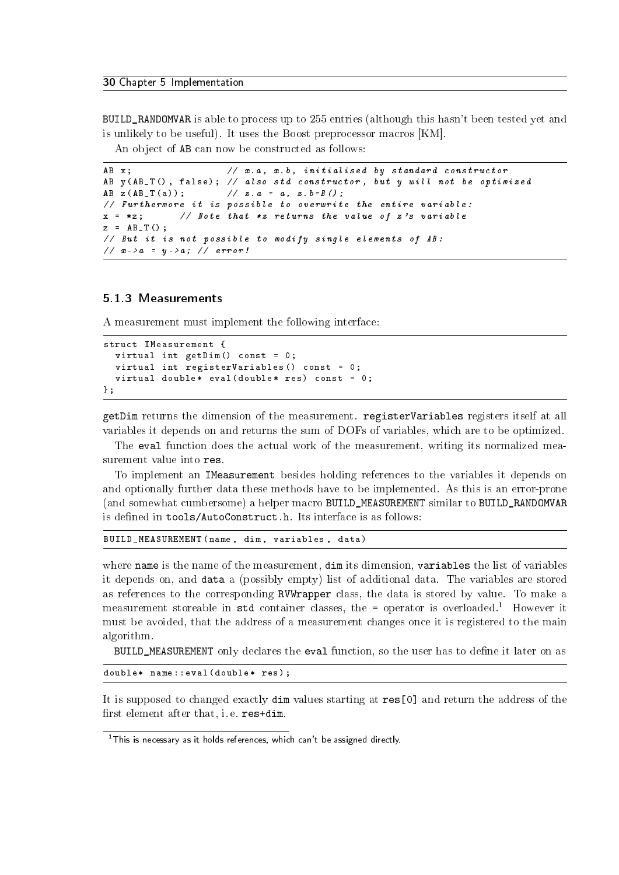#### 30 Chapter 5 Implementation

BUILD\_RANDOMVAR is able to process up to 255 entries (although this hasn't been tested yet and is unlikely to be useful). It uses the Boost preprocessor macros [\[KM\]](#page-52-10).

An object of AB can now be constructed as follows:

```
AB x; \frac{1}{x}, \frac{1}{x}, \frac{1}{x}, \frac{1}{x}, \frac{1}{x}, \frac{1}{x}, \frac{1}{x}, \frac{1}{x}, \frac{1}{x}, \frac{1}{x}, \frac{1}{x}, \frac{1}{x}, \frac{1}{x}, \frac{1}{x}, \frac{1}{x}, \frac{1}{x}, \frac{1}{x}, \frac{1}{x}, \frac{1}{x}, \frac{1}{xAB y(AB_T(), false); // also std constructor, but y will not be optimized
AB z(AB_T(a)); // z.a = a, z.b = B();// Furthermore it is possible to overwrite the entire variable :
x = *z; // Note that *z returns the value of z's variable
z = AB_T();
// But it is not possible to modify single elements of AB :
// x - > a = y - > a; // error!
```
#### <span id="page-33-0"></span>5.1.3 Measurements

A measurement must implement the following interface:

```
struct IMeasurement {
 virtual int getDim() const = 0;virtual int registerVariables () const = 0;
  virtual double* eval (double* res) const = 0;
};
```
getDim returns the dimension of the measurement. registerVariables registers itself at all variables it depends on and returns the sum of [DOFs](#page-5-2) of variables, which are to be optimized.

The eval function does the actual work of the measurement, writing its normalized measurement value into res.

To implement an IMeasurement besides holding references to the variables it depends on and optionally further data these methods have to be implemented. As this is an error-prone (and somewhat cumbersome) a helper macro BUILD\_MEASUREMENT similar to BUILD\_RANDOMVAR is defined in tools/AutoConstruct.h. Its interface is as follows:

BUILD\_MEASUREMENT ( name , dim , variables , data )

where name is the name of the measurement, dim its dimension, variables the list of variables it depends on, and data a (possibly empty) list of additional data. The variables are stored as references to the corresponding RVWrapper class, the data is stored by value. To make a measurement storeable in std container classes, the  $=$  operator is overloaded.<sup>[1](#page-33-1)</sup> However it must be avoided, that the address of a measurement changes once it is registered to the main algorithm.

BUILD\_MEASUREMENT only declares the eval function, so the user has to define it later on as

```
double * name :: eval ( double * res ) ;
```
It is supposed to changed exactly dim values starting at res[0] and return the address of the first element after that, i.e. res+dim.

<span id="page-33-1"></span><sup>&</sup>lt;sup>1</sup>This is necessary as it holds references, which can't be assigned directly.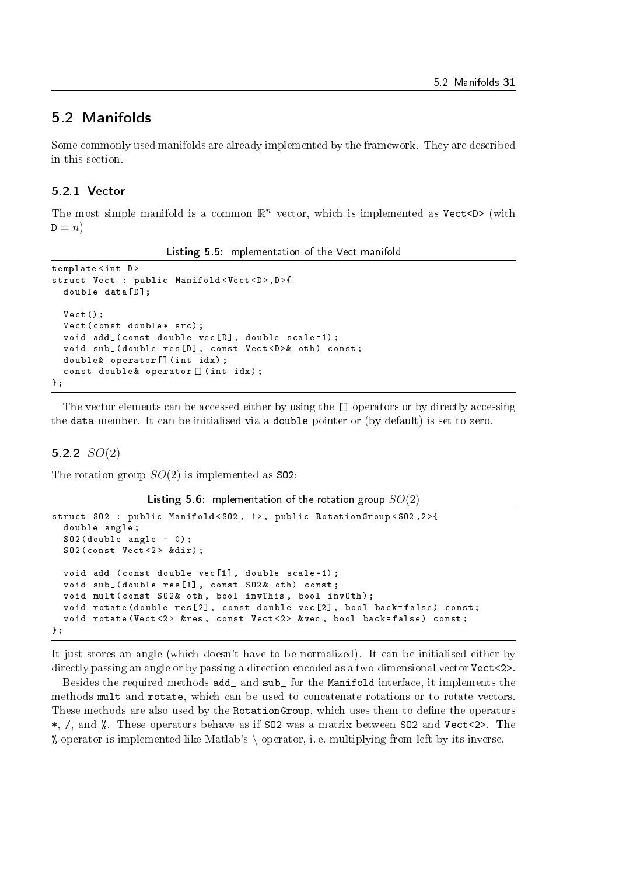## <span id="page-34-0"></span>5.2 Manifolds

Some commonly used manifolds are already implemented by the framework. They are described in this section.

#### <span id="page-34-1"></span>5.2.1 Vector

The most simple manifold is a common  $\mathbb{R}^n$  vector, which is implemented as Vect<D> (with  $D = n$ 

Listing 5.5: Implementation of the Vect manifold

```
template < int D >
struct Vect : public Manifold < Vect < D > , D > {
  double data [D];
  Vect () ;
  Vect (const double* src);
  void add_ (const double vec [D], double scale=1);
  void sub_(double res [D], const Vect <D>& oth) const;
  double & operator [] (int idx);
  const double & operator [] (int idx);
};
```
The vector elements can be accessed either by using the [] operators or by directly accessing the data member. It can be initialised via a double pointer or (by default) is set to zero.

#### <span id="page-34-2"></span>5.2.2  $SO(2)$

The rotation group  $SO(2)$  is implemented as **S02**:

```
Listing 5.6: Implementation of the rotation group SO(2)
```

```
struct SO2 : public Manifold < SO2, 1>, public RotationGroup < SO2, 2>{
  double angle ;
  S02 (double angle = 0);
  SO2 (const Vect <2> & dir);
  void add_ ( const double vec [1] , double scale =1) ;
  void sub_(double res[1], const S02& oth) const;
  void mult ( const SO2 & oth, bool invThis, bool invOth);
  void rotate (double res [2], const double vec [2], bool back=false) const;
  void rotate (Vect<2> & res, const Vect<2> & vec, bool back=false) const;
};
```
It just stores an angle (which doesn't have to be normalized). It can be initialised either by directly passing an angle or by passing a direction encoded as a two-dimensional vector Vect<2>.

Besides the required methods add\_ and sub\_ for the Manifold interface, it implements the methods mult and rotate, which can be used to concatenate rotations or to rotate vectors. These methods are also used by the RotationGroup, which uses them to define the operators \*, /, and %. These operators behave as if SO2 was a matrix between SO2 and Vect<2>. The %-operator is implemented like Matlab's \-operator, i. e. multiplying from left by its inverse.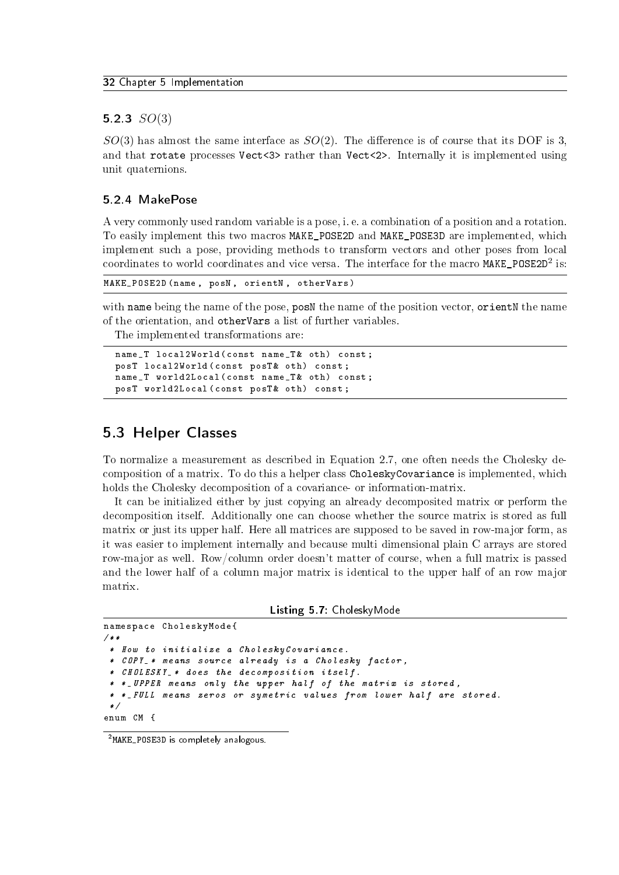#### <span id="page-35-0"></span>5.2.3  $SO(3)$

 $SO(3)$  has almost the same interface as  $SO(2)$ . The difference is of course that its [DOF](#page-5-2) is 3, and that rotate processes Vect<3> rather than Vect<2>. Internally it is implemented using unit quaternions.

#### <span id="page-35-1"></span>5.2.4 MakePose

A very commonly used random variable is a pose, i. e. a combination of a position and a rotation. To easily implement this two macros MAKE\_POSE2D and MAKE\_POSE3D are implemented, which implement such a pose, providing methods to transform vectors and other poses from local coordinates to world coordinates and vice versa. The interface for the macro MAKE\_POSE[2](#page-35-3)D<sup>2</sup> is:

```
MAKE_POSE2D (name, posN, orientN, otherVars)
```
with name being the name of the pose, posN the name of the position vector, orientN the name of the orientation, and otherVars a list of further variables.

The implemented transformations are:

```
name_T local2World (const name_T& oth) const;
posT local2World (const posT& oth) const;
name_T world2Local (const name_T& oth) const;
posT world2Local (const posT& oth) const;
```
## <span id="page-35-2"></span>5.3 Helper Classes

To normalize a measurement as described in [Equation 2.7,](#page-15-5) one often needs the Cholesky decomposition of a matrix. To do this a helper class CholeskyCovariance is implemented, which holds the Cholesky decomposition of a covariance- or information-matrix.

It can be initialized either by just copying an already decomposited matrix or perform the decomposition itself. Additionally one can choose whether the source matrix is stored as full matrix or just its upper half. Here all matrices are supposed to be saved in row-major form, as it was easier to implement internally and because multi dimensional plain C arrays are stored row-major as well. Row/column order doesn't matter of course, when a full matrix is passed and the lower half of a column major matrix is identical to the upper half of an row major matrix.

```
Listing 5.7: CholeskyMode
```

```
namespace CholeskyMode {
/** How to initialize a CholeskyCovariance .
 * COPY_ * means source already is a Cholesky factor ,
  CHOLESKY * does the decomposition itself.
 * * _UPPER means only the upper half of the matrix is stored ,
 * * _FULL means zeros or symetric values from lower half are stored .
 */
enum CM {
```
<span id="page-35-3"></span><sup>2</sup> MAKE\_POSE3D is completely analogous.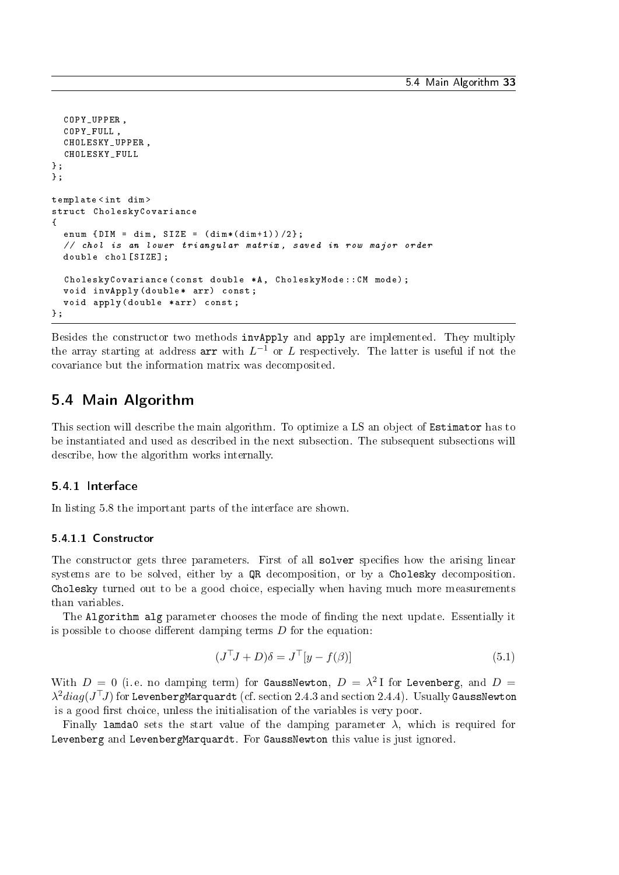```
COPY_UPPER ,
  COPY_FULL ,
  CHOLESKY_UPPER ,
  CHOLESKY_FULL
};
};
template < int dim >
struct CholeskyCovariance
{
  enum {DIM = dim, SIZE = (dim *(dim + 1))}/2};// chol is an lower triangular matrix , saved in row major order
  double chol [SIZE];
  CholeskyCovariance ( const double *A , CholeskyMode :: CM mode ) ;
  void invApply (double* arr) const;
  void apply ( double * arr ) const ;
};
```
Besides the constructor two methods invApply and apply are implemented. They multiply the array starting at address  $arr$  with  $L^{-1}$  or  $L$  respectively. The latter is useful if not the covariance but the information matrix was decomposited.

## <span id="page-36-0"></span>5.4 Main Algorithm

This section will describe the main algorithm. To optimize a [LS](#page-5-3) an object of Estimator has to be instantiated and used as described in the next subsection. The subsequent subsections will describe, how the algorithm works internally.

## <span id="page-36-1"></span>5.4.1 Interface

In [listing 5.8](#page-37-0) the important parts of the interface are shown.

#### <span id="page-36-2"></span>5.4.1.1 Constructor

The constructor gets three parameters. First of all solver specifies how the arising linear systems are to be solved, either by a QR decomposition, or by a Cholesky decomposition. Cholesky turned out to be a good choice, especially when having much more measurements than variables.

The Algorithm alg parameter chooses the mode of finding the next update. Essentially it is possible to choose different damping terms  $D$  for the equation:

$$
(J^{\top}J + D)\delta = J^{\top}[y - f(\beta)] \tag{5.1}
$$

With  $D\,=\,0$  (i.e. no damping term) for GaussNewton,  $D\,=\,\lambda^2\,{\rm I}$  for Levenberg, and  $D\,=\,$  $\lambda^2 diag (J^{\top}J)$  for Levenberg<code>Marquardt</code> (cf. section  $2.4.3$  and section  $2.4.4$ ). Usually <code>GaussNewton</code> is a good first choice, unless the initialisation of the variables is very poor.

Finally lamda0 sets the start value of the damping parameter  $\lambda$ , which is required for Levenberg and LevenbergMarquardt. For GaussNewton this value is just ignored.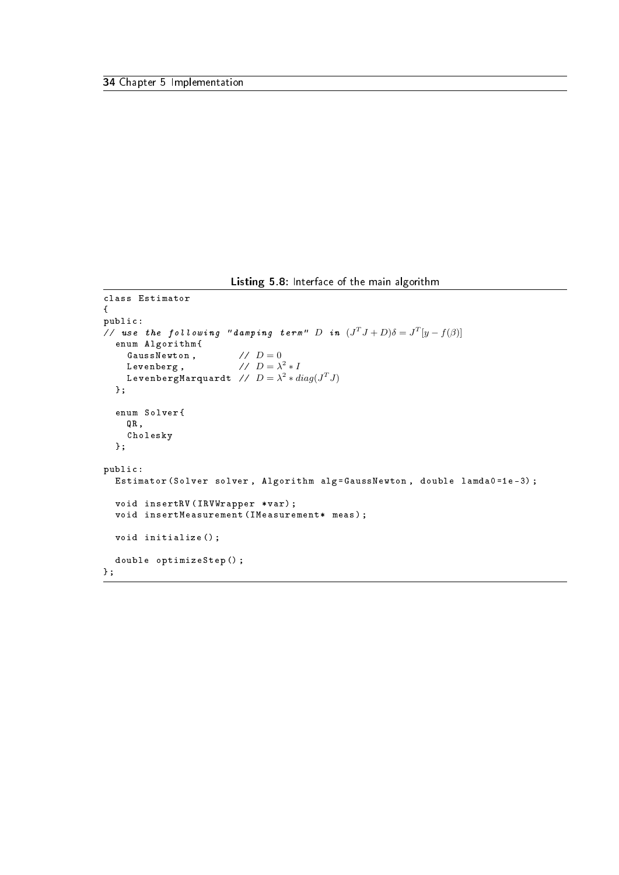Listing 5.8: Interface of the main algorithm

```
class Estimator
{
public :
// use the following "damping term" D in (J^TJ+D)\delta=J^T[y-f(\beta)]enum Algorithm {
    GaussNewton,
    Levenberg,
                                   <sup>2</sup> * I
     LevenbergMarquardt // D=\lambda^2*diag(J^TJ)};
  enum Solver {
    QR ,
    Cholesky
  };
public :
  Estimator ( Solver solver, Algorithm alg = GaussNewton, double lamda0 = 1e-3);
  void insertRV ( IRVWrapper * var ) ;
  void insertMeasurement ( IMeasurement * meas ) ;
  void initialize () ;
  double optimizeStep () ;
};
```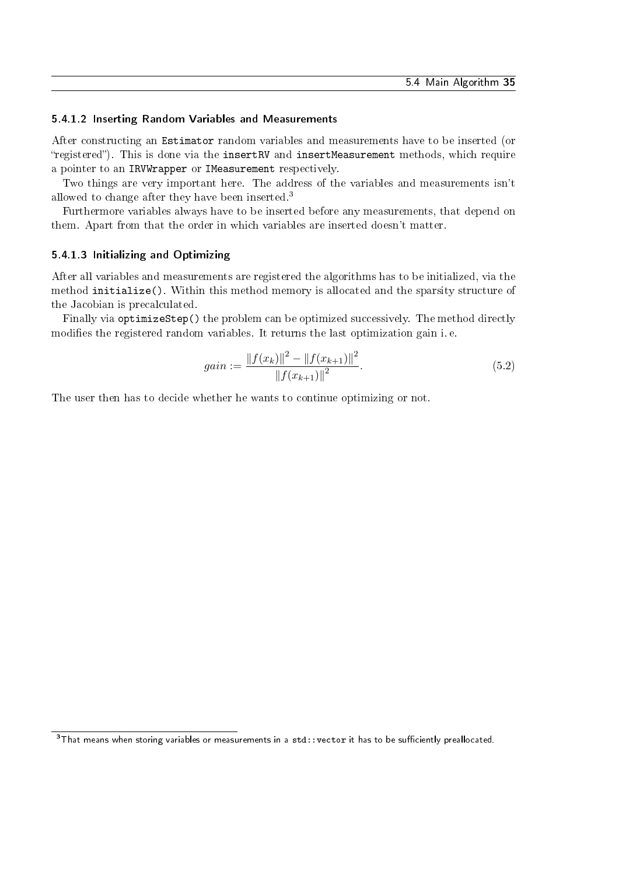#### <span id="page-38-0"></span>5.4.1.2 Inserting Random Variables and Measurements

After constructing an Estimator random variables and measurements have to be inserted (or "registered"). This is done via the insertRV and insertMeasurement methods, which require a pointer to an IRVWrapper or IMeasurement respectively.

Two things are very important here. The address of the variables and measurements isn't allowed to change after they have been inserted.[3](#page-38-2)

Furthermore variables always have to be inserted before any measurements, that depend on them. Apart from that the order in which variables are inserted doesn't matter.

#### <span id="page-38-1"></span>5.4.1.3 Initializing and Optimizing

After all variables and measurements are registered the algorithms has to be initialized, via the method initialize(). Within this method memory is allocated and the sparsity structure of the Jacobian is precalculated.

Finally via optimizeStep() the problem can be optimized successively. The method directly modifies the registered random variables. It returns the last optimization gain i.e.

$$
gain := \frac{\|f(x_k)\|^2 - \|f(x_{k+1})\|^2}{\|f(x_{k+1})\|^2}.
$$
\n(5.2)

The user then has to decide whether he wants to continue optimizing or not.

<span id="page-38-2"></span> $3$ That means when storing variables or measurements in a std:: vector it has to be sufficiently preallocated.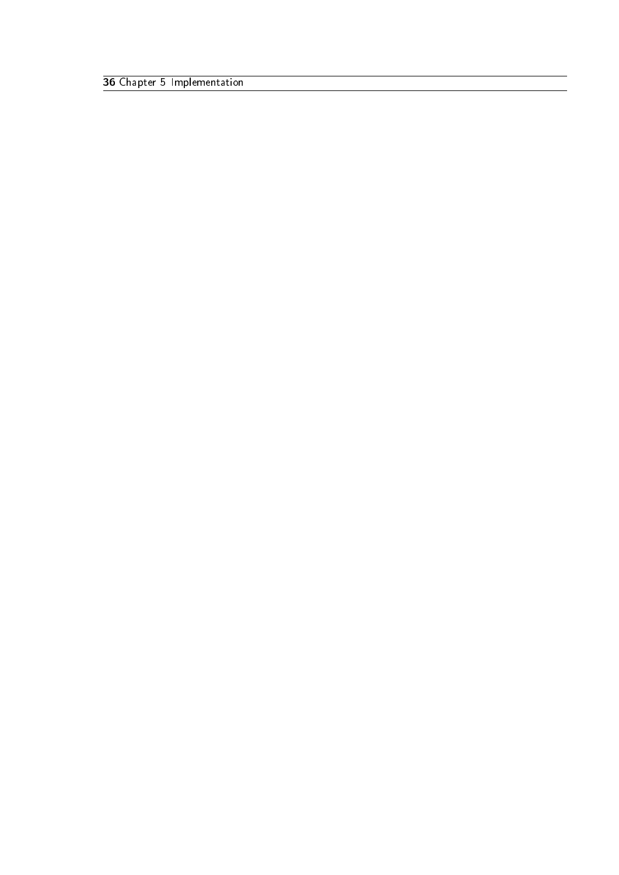Chapter 5 Implementation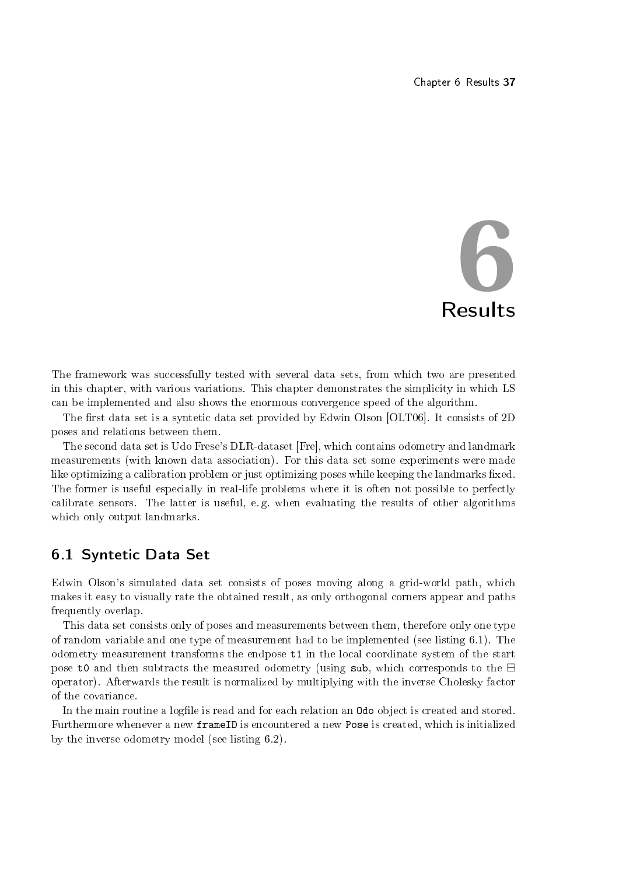

<span id="page-40-0"></span>The framework was successfully tested with several data sets, from which two are presented in this chapter, with various variations. This chapter demonstrates the simplicity in which [LS](#page-5-3) can be implemented and also shows the enormous convergence speed of the algorithm.

The first data set is a syntetic data set provided by Edwin Olson [\[OLT06\]](#page-53-9). It consists of 2D poses and relations between them.

The second data set is Udo Frese's DLR-dataset [\[Fre\]](#page-52-11), which contains odometry and landmark measurements (with known data association). For this data set some experiments were made like optimizing a calibration problem or just optimizing poses while keeping the landmarks fixed. The former is useful especially in real-life problems where it is often not possible to perfectly calibrate sensors. The latter is useful, e. g. when evaluating the results of other algorithms which only output landmarks.

## <span id="page-40-1"></span>6.1 Syntetic Data Set

Edwin Olson's simulated data set consists of poses moving along a grid-world path, which makes it easy to visually rate the obtained result, as only orthogonal corners appear and paths frequently overlap.

This data set consists only of poses and measurements between them, therefore only one type of random variable and one type of measurement had to be implemented (see [listing 6.1\)](#page-41-0). The odometry measurement transforms the endpose t1 in the local coordinate system of the start pose t0 and then subtracts the measured odometry (using sub, which corresponds to the  $\boxminus$ operator). Afterwards the result is normalized by multiplying with the inverse Cholesky factor of the covariance.

In the main routine a logfile is read and for each relation an **Odo** object is created and stored. Furthermore whenever a new frameID is encountered a new Pose is created, which is initialized by the inverse odometry model (see [listing 6.2\)](#page-41-1).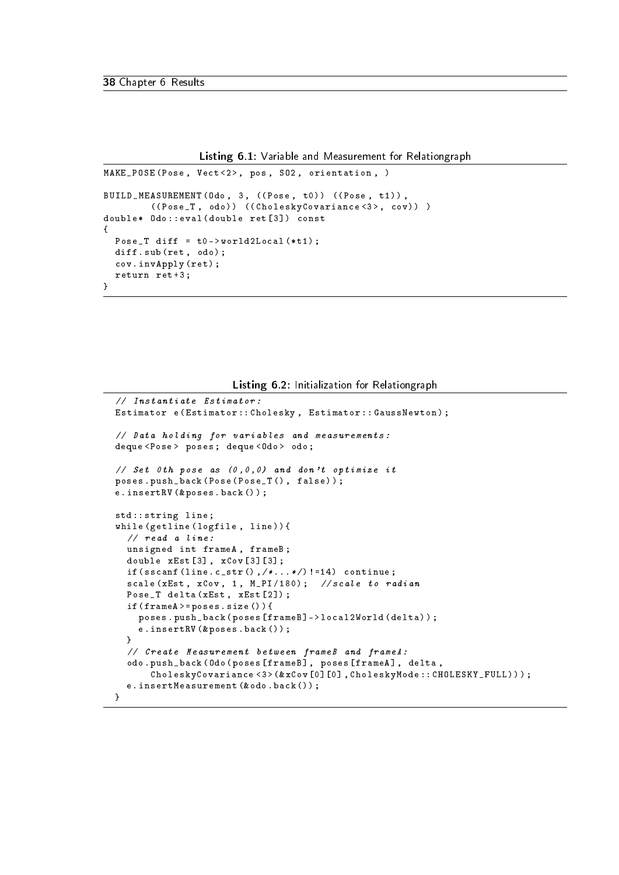```
Listing 6.1: Variable and Measurement for Relationgraph
```

```
MAKE_POSE (Pose, Vect < 2>, pos, SO2, orientation, )
BUILD_MEASUREMENT (Odo, 3, ((Pose, t0)) ((Pose, t1)),
         ((Pose_T, odo)) ((CholeskyCovariance <math>3>, cov)))
double * Odo :: eval ( double ret [3]) const
\mathbf{f}Pose_T diff = t0->world2Local (*t1);
 diff.sub(ret, odo);
  cov . invApply ( ret ) ;
 return ret +3;
}
```
Listing 6.2: Initialization for Relationgraph

```
// Instantiate Estimator :
Estimator e (Estimator:: Cholesky, Estimator:: GaussNewton);
// Data holding for variables and measurements :
deque < Pose > poses ; deque < Odo > odo ;
// Set 0 th pose as (0 ,0 ,0) and don 't optimize it
poses.push_back (Pose (Pose_T(), false));
e . insertRV (& poses . back () ) ;
std :: string line ;
while ( getline ( logfile , line ) ) {
  // read a line :
  unsigned int frameA , frameB ;
  double xEst [3], xCov [3][3];
  if ({\tt sscanf(line.c\_str()}, \}/*..., \!/)!=14) continue;
  scale (xEst, xCov, 1, M_PI/180); //scale to radian
  Pose_T delta (xEst, xEst [2]);
  if ( frameA >= poses . size () ) {
    poses . push_back ( poses [ frameB ] - > local2World ( delta ) ) ;
    e . insertRV (& poses . back () ) ;
  }
  // Create Measurement between frameB and frameA :
  odo . push_back ( Odo ( poses [ frameB ] , poses [ frameA ] , delta ,
       CholeskyCovariance <3>(& xCov [0][0], CholeskyMode :: CHOLESKY_FULL ) ) ) ;
  e . insertMeasurement (& odo . back () ) ;
}
```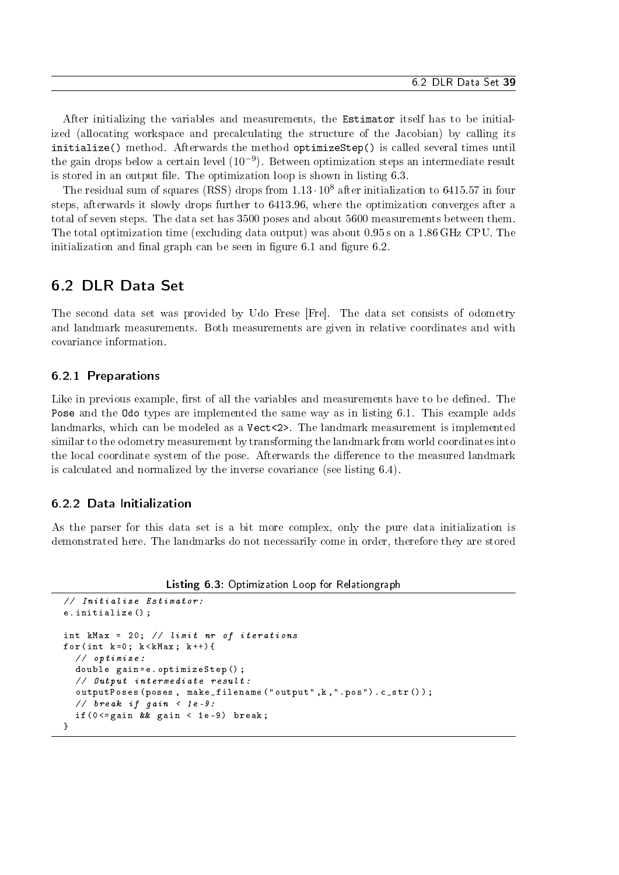After initializing the variables and measurements, the Estimator itself has to be initialized (allocating workspace and precalculating the structure of the Jacobian) by calling its initialize() method. Afterwards the method optimizeStep() is called several times until the gain drops below a certain level (10−<sup>9</sup> ). Between optimization steps an intermediate result is stored in an output file. The optimization loop is shown in listing  $6.3$ .

The residual sum of squares [\(RSS\)](#page-5-7) drops from  $1.13 \cdot 10^8$  after initialization to 6415.57 in four steps, afterwards it slowly drops further to 6413.96, where the optimization converges after a total of seven steps. The data set has 3500 poses and about 5600 measurements between them. The total optimization time (excluding data output) was about 0.95 s on a 1.86 GHz CPU. The initialization and final graph can be seen in figure  $6.1$  and figure  $6.2$ .

## <span id="page-42-0"></span>6.2 DLR Data Set

The second data set was provided by Udo Frese [\[Fre\]](#page-52-11). The data set consists of odometry and landmark measurements. Both measurements are given in relative coordinates and with covariance information.

#### <span id="page-42-1"></span>6.2.1 Preparations

Like in previous example, first of all the variables and measurements have to be defined. The Pose and the Odo types are implemented the same way as in [listing 6.1.](#page-41-0) This example adds landmarks, which can be modeled as a Vect<2>. The landmark measurement is implemented similar to the odometry measurement by transforming the landmark from world coordinates into the local coordinate system of the pose. Afterwards the difference to the measured landmark is calculated and normalized by the inverse covariance (see [listing 6.4\)](#page-44-1).

#### <span id="page-42-2"></span>6.2.2 Data Initialization

<span id="page-42-3"></span>// Initialize Estimator :

As the parser for this data set is a bit more complex, only the pure data initialization is demonstrated here. The landmarks do not necessarily come in order, therefore they are stored

Listing 6.3: Optimization Loop for Relationgraph

```
e . initialize () ;
int kMax = 20; // limit nr of iterations
for (int k=0; k < kMax; k++){
  // optimize :
  double gain = e . optimizeStep () ;
  // Output intermediate result :
  outputPoses ( poses , make_filename ( " output " ,k , " . pos " ) . c_str () ) ;
  // break if gain < 1e-9:
  if (0 < =gain && gain (1e - 9) break;
}
```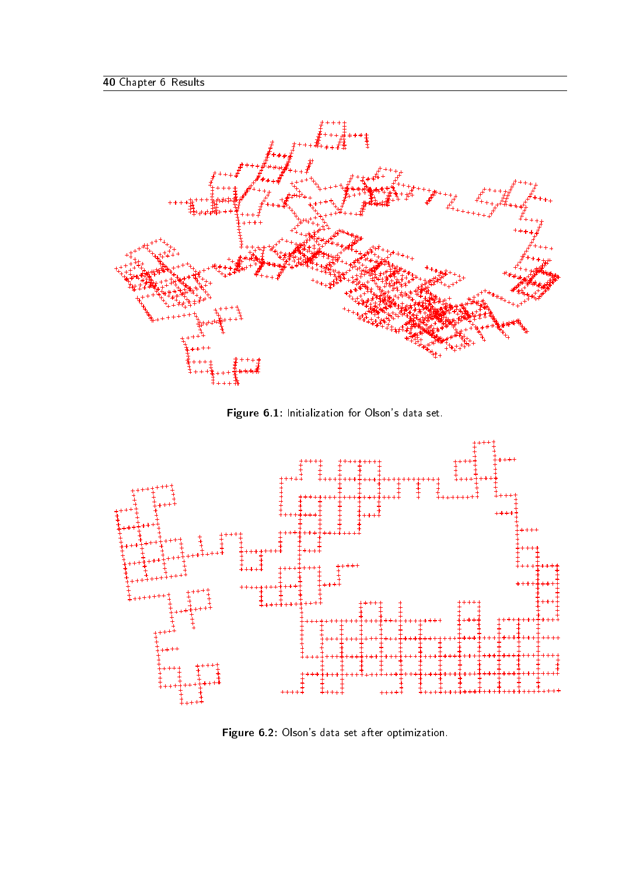<span id="page-43-0"></span>

Figure 6.1: Initialization for Olson's data set.

<span id="page-43-1"></span>

Figure 6.2: Olson's data set after optimization.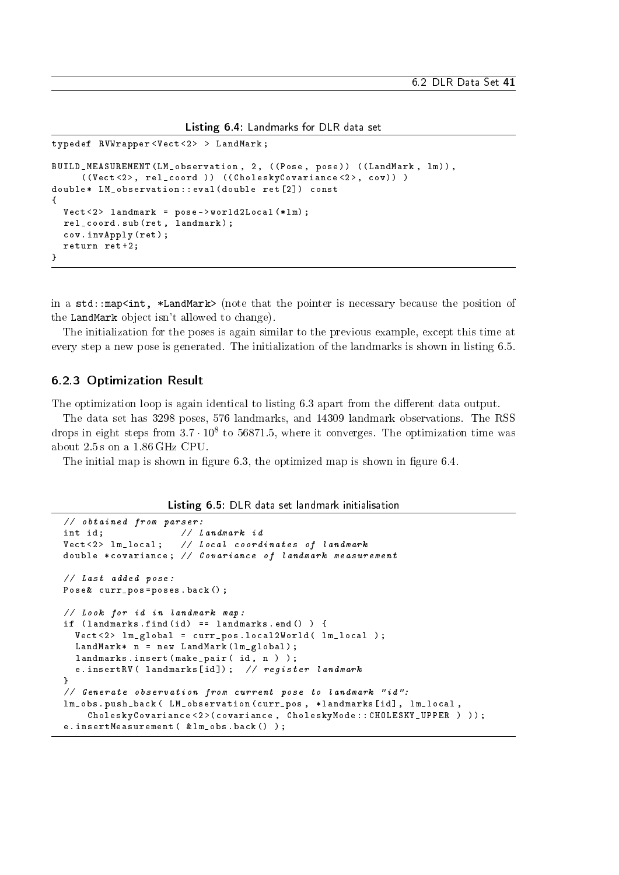Listing 6.4: Landmarks for DLR data set

```
typedef RVWrapper < Vect <2 > > LandMark ;
BUILD_MEASUREMENT (LM_observation, 2, ((Pose, pose)) ((LandMark, lm)),
      ((\text{Vect} < 2) \times \text{rel} \text{coord}) ((\text{CholeskyCovariance} < 2) \times \text{cov}) )
double * LM_observation :: eval ( double ret [2]) const
{
  Vect < 2 > landmark = pose->world2Local (*1m);
  rel_coord . sub ( ret , landmark ) ;
  cov . invApply ( ret ) ;
  return ret +2;
}
```
in a std::map<int, \*LandMark> (note that the pointer is necessary because the position of the LandMark object isn't allowed to change).

The initialization for the poses is again similar to the previous example, except this time at every step a new pose is generated. The initialization of the landmarks is shown in [listing 6.5.](#page-44-2)

#### <span id="page-44-0"></span>6.2.3 Optimization Result

The optimization loop is again identical to [listing 6.3](#page-42-3) apart from the different data output.

The data set has 3298 poses, 576 landmarks, and 14309 landmark observations. The [RSS](#page-5-7) drops in eight steps from  $3.7 \cdot 10^8$  to 56871.5, where it converges. The optimization time was about 2.5 s on a 1.86 GHz CPU.

The initial map is shown in fi[gure 6.3,](#page-45-0) the optimized map is shown in fi[gure 6.4.](#page-45-1)

Listing 6.5: DLR data set landmark initialisation

```
// obtained from parser :
int id; // Landmark id
Vect <2> lm_local; // Local coordinates of landmark
double *covariance; // Covariance of landmark measurement
// Last added pose :
Pose & curr_pos = poses . back ();
// Look for id in landmark map :
if (landmarks.find(id) == landmarks.end() )Vect < 2 \geq \frac{1}{m_{\text{e}}} and \geq \frac{1}{m_{\text{e}}} curr_pos.local2World ( \frac{1}{m_{\text{e}}} local );
  LandMark * n = new LandMark (lm_global);
  landmarks.insert (make_pair ( id, n ) );
  e.insertRV ( landmarks [id]); // register landmark
}
// Generate observation from current pose to landmark " id ":
lm_obs . push_back ( LM_observation ( curr_pos , * landmarks [ id ] , lm_local ,
    CholeskyCovariance <2 >( covariance , CholeskyMode :: CHOLESKY_UPPER ) ) ) ;
e . insertMeasurement ( & lm_obs . back () ) ;
```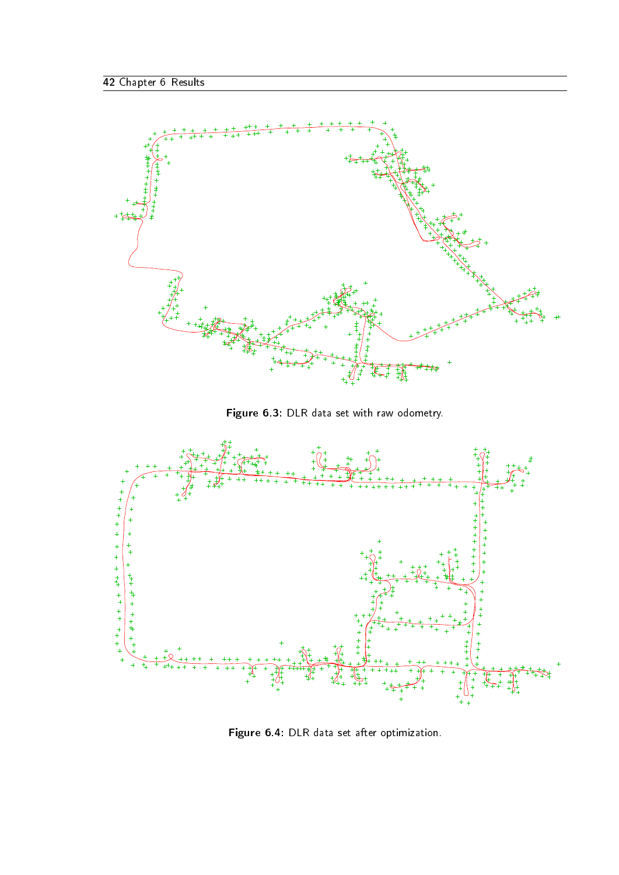<span id="page-45-0"></span>

Figure 6.3: DLR data set with raw odometry.

<span id="page-45-1"></span>

Figure 6.4: DLR data set after optimization.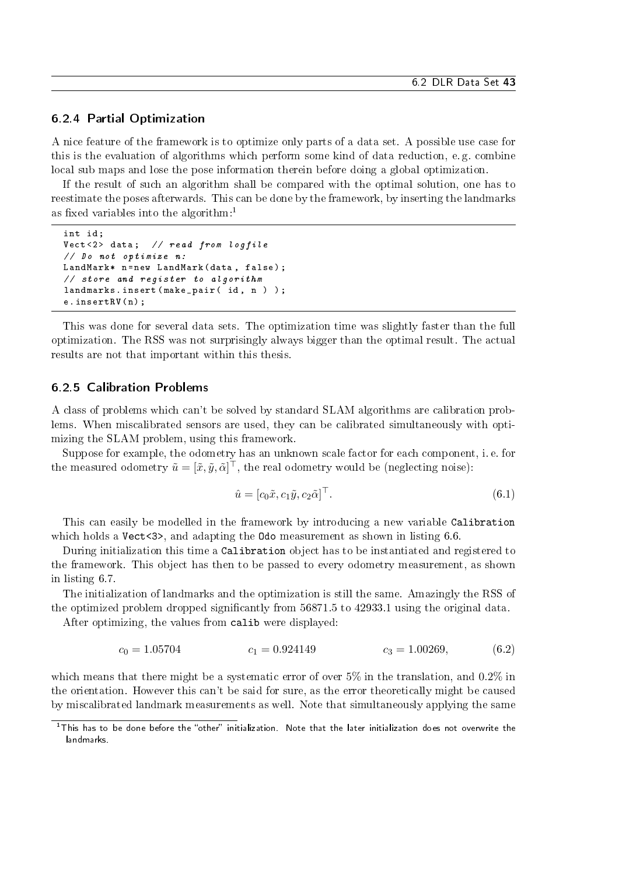#### <span id="page-46-0"></span>6.2.4 Partial Optimization

A nice feature of the framework is to optimize only parts of a data set. A possible use case for this is the evaluation of algorithms which perform some kind of data reduction, e. g. combine local sub maps and lose the pose information therein before doing a global optimization.

If the result of such an algorithm shall be compared with the optimal solution, one has to reestimate the poses afterwards. This can be done by the framework, by inserting the landmarks as fixed variables into the algorithm:<sup>[1](#page-46-2)</sup>

```
int id;
Vect <2> data; // read from logfile
// Do not optimize n :
LandMark* n=new LandMark (data, false);
// store and register to algorithm
landmarks.insert (make_pair ( id, n ) );
e.insertRV(n);
```
This was done for several data sets. The optimization time was slightly faster than the full optimization. The [RSS](#page-5-7) was not surprisingly always bigger than the optimal result. The actual results are not that important within this thesis.

#### <span id="page-46-1"></span>6.2.5 Calibration Problems

A class of problems which can't be solved by standard [SLAM](#page-5-5) algorithms are calibration problems. When miscalibrated sensors are used, they can be calibrated simultaneously with optimizing the SLAM problem, using this framework.

Suppose for example, the odometry has an unknown scale factor for each component, i. e. for the measured odometry  $\tilde{u} = [\tilde{x}, \tilde{y}, \tilde{\alpha}]^\top$ , the real odometry would be (neglecting noise):

$$
\hat{u} = [c_0 \tilde{x}, c_1 \tilde{y}, c_2 \tilde{\alpha}]^\top. \tag{6.1}
$$

This can easily be modelled in the framework by introducing a new variable Calibration which holds a Vect<3>, and adapting the Odo measurement as shown in [listing 6.6.](#page-47-0)

During initialization this time a Calibration object has to be instantiated and registered to the framework. This object has then to be passed to every odometry measurement, as shown in [listing 6.7.](#page-47-1)

The initialization of landmarks and the optimization is still the same. Amazingly the [RSS](#page-5-7) of the optimized problem dropped signicantly from 56871.5 to 42933.1 using the original data.

After optimizing, the values from calib were displayed:

$$
c_0 = 1.05704 \qquad \qquad c_1 = 0.924149 \qquad \qquad c_3 = 1.00269, \tag{6.2}
$$

which means that there might be a systematic error of over  $5\%$  in the translation, and  $0.2\%$  in the orientation. However this can't be said for sure, as the error theoretically might be caused by miscalibrated landmark measurements as well. Note that simultaneously applying the same

<span id="page-46-2"></span> $1$ This has to be done before the "other" initialization. Note that the later initialization does not overwrite the landmarks.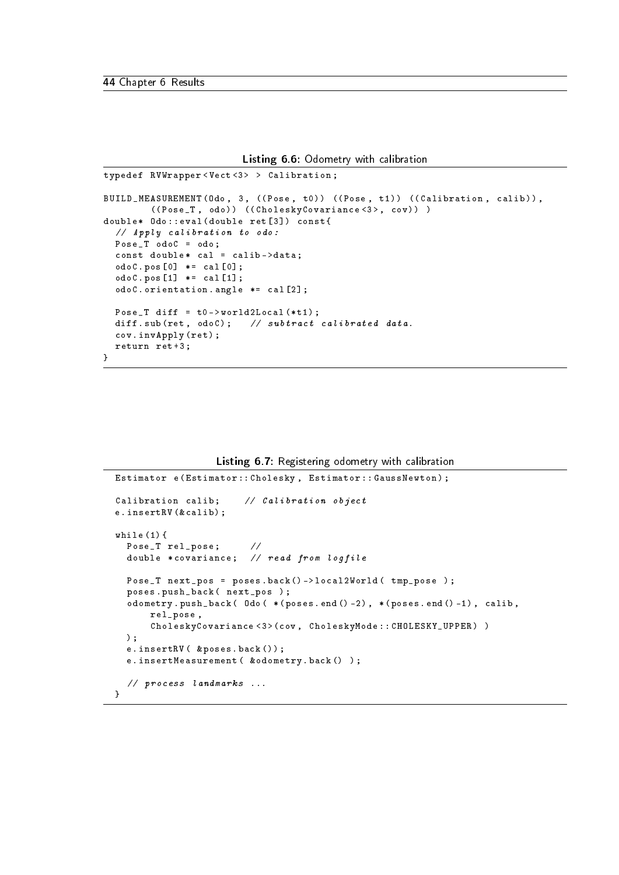44 Chapter 6 Results

```
Listing 6.6: Odometry with calibration
```

```
typedef RVWrapper < Vect < 3> > Calibration;
BUILD_MEASUREMENT ( Odo, 3, (( Pose, t0) ) ( ( Pose, t1) ) ( ( Calibration, calib ) ),
        ((Pose_T, odo)) ((CholeskyCovariance<3>, cov)) )
double* Odo:: eval (double ret [3]) const{
  // Apply calibration to odo :
 Pose_T odoC = odo ;
  const double* cal = calib -> data;
  odoC . pos [0] *= cal [0];
  odoC . pos [1] *= cal [1];
  odoC . orientation . angle *= cal [2];
 Pose_T diff = t0->world2Local (*t1);
 diff. sub (ret, odoC); // subtract calibrated data.
  cov . invApply ( ret ) ;
 return ret +3;
}
```
Listing 6.7: Registering odometry with calibration

```
Estimator e (Estimator:: Cholesky, Estimator:: GaussNewton);
Calibration calib; // Calibration object
e . insertRV (& calib ) ;
while (1) {
  Pose_T rel_pose; //
  double *covariance; // read from logfile
  Pose_T next_pos = poses . back () -> local2World ( tmp_pose ) ;
  poses . push_back ( next_pos ) ;
  odometry . push_back ( Odo ( *( poses . end () -2) , *( poses . end () -1) , calib ,
      rel_pose ,
      CholeskyCovariance <3 >( cov , CholeskyMode :: CHOLESKY_UPPER ) )
  ) ;
  e . insertRV ( & poses . back () ) ;
  e . insertMeasurement ( & odometry . back () ) ;
  // process landmarks ...
}
```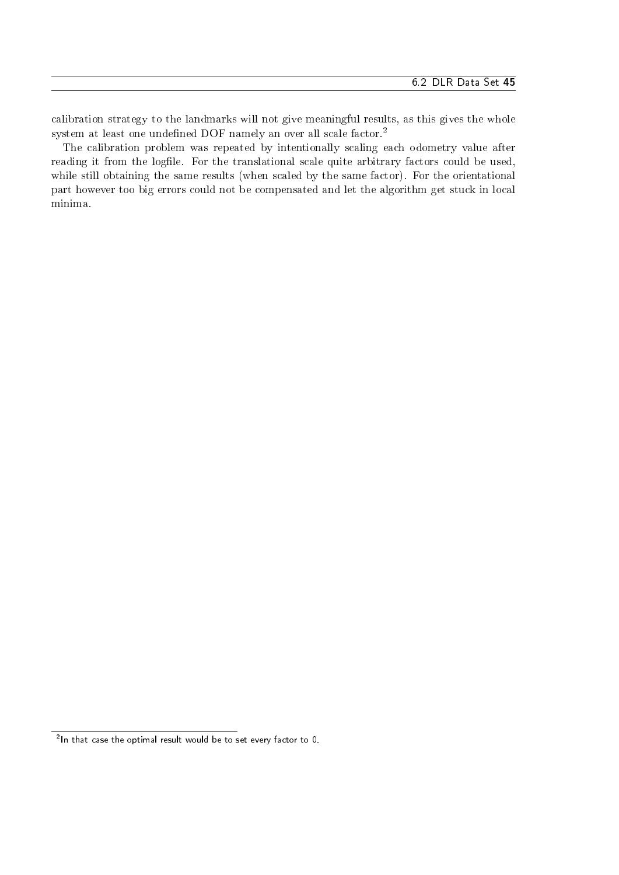calibration strategy to the landmarks will not give meaningful results, as this gives the whole system at least one undefined [DOF](#page-5-2) namely an over all scale factor.<sup>[2](#page-48-0)</sup>

The calibration problem was repeated by intentionally scaling each odometry value after reading it from the logfile. For the translational scale quite arbitrary factors could be used, while still obtaining the same results (when scaled by the same factor). For the orientational part however too big errors could not be compensated and let the algorithm get stuck in local minima.

<span id="page-48-0"></span> $^2$ In that case the optimal result would be to set every factor to 0.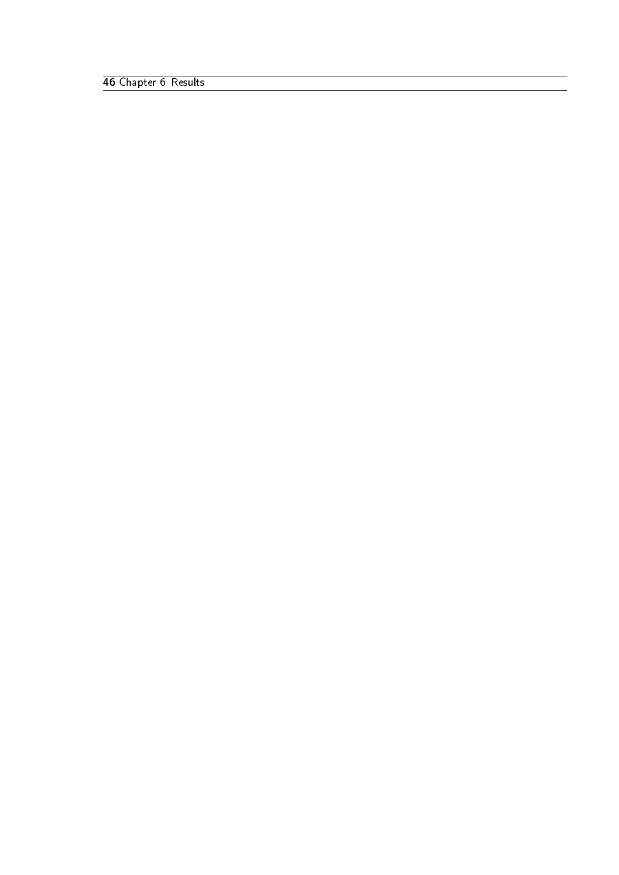Chapter 6 Results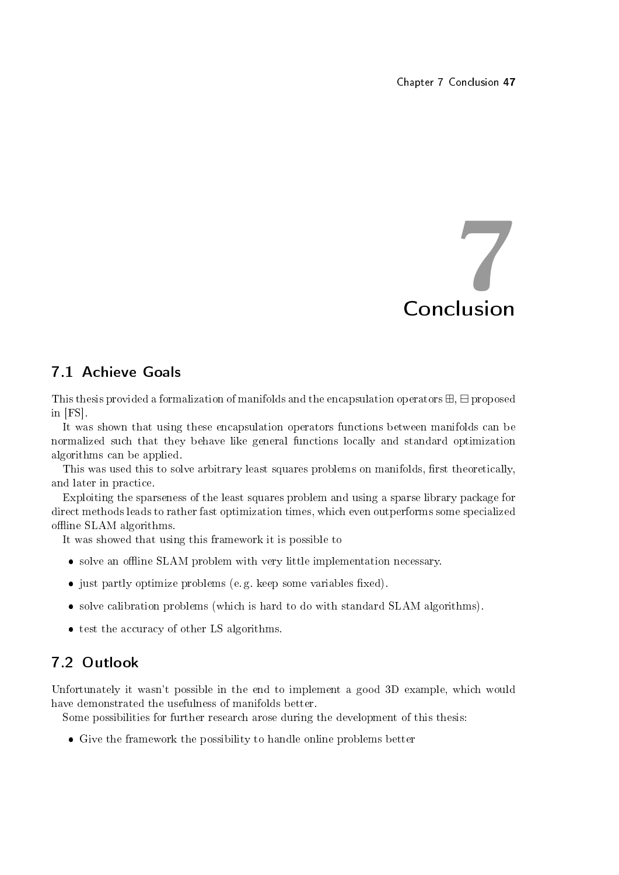

## <span id="page-50-1"></span><span id="page-50-0"></span>7.1 Achieve Goals

This thesis provided a formalization of manifolds and the encapsulation operators  $\boxplus$ ,  $\boxminus$  proposed in [\[FS\]](#page-52-3).

It was shown that using these encapsulation operators functions between manifolds can be normalized such that they behave like general functions locally and standard optimization algorithms can be applied.

This was used this to solve arbitrary least squares problems on manifolds, first theoretically, and later in practice.

Exploiting the sparseness of the least squares problem and using a sparse library package for direct methods leads to rather fast optimization times, which even outperforms some specialized offline SLAM algorithms.

It was showed that using this framework it is possible to

- solve an offline [SLAM](#page-5-5) problem with very little implementation necessary.
- $\bullet$  just partly optimize problems (e.g. keep some variables fixed).
- solve calibration problems (which is hard to do with standard SLAM algorithms).
- test the accuracy of other [LS](#page-5-3) algorithms.

## <span id="page-50-2"></span>7.2 Outlook

Unfortunately it wasn't possible in the end to implement a good 3D example, which would have demonstrated the usefulness of manifolds better.

Some possibilities for further research arose during the development of this thesis:

Give the framework the possibility to handle online problems better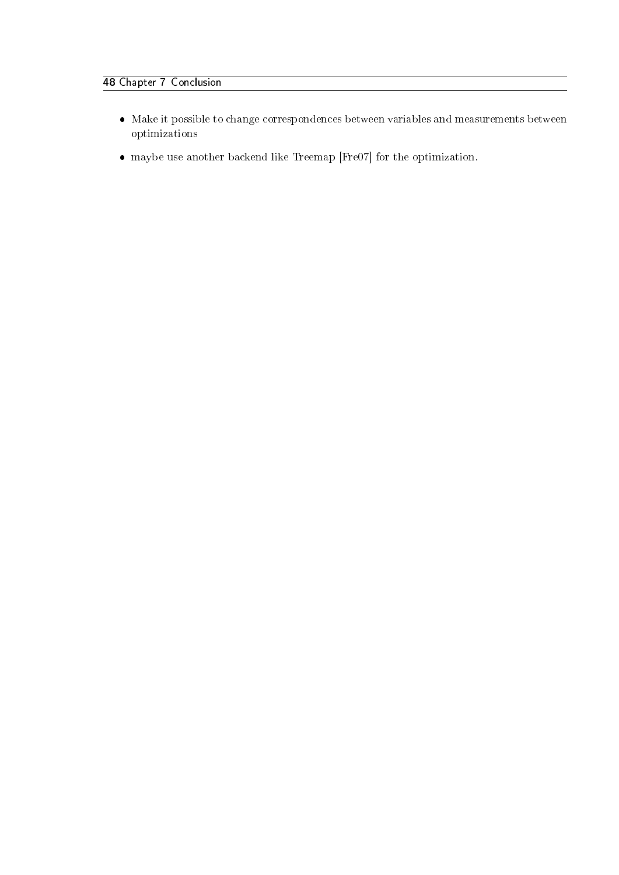## 48 Chapter 7 Conclusion

- Make it possible to change correspondences between variables and measurements between optimizations
- maybe use another backend like Treemap [\[Fre07\]](#page-52-12) for the optimization.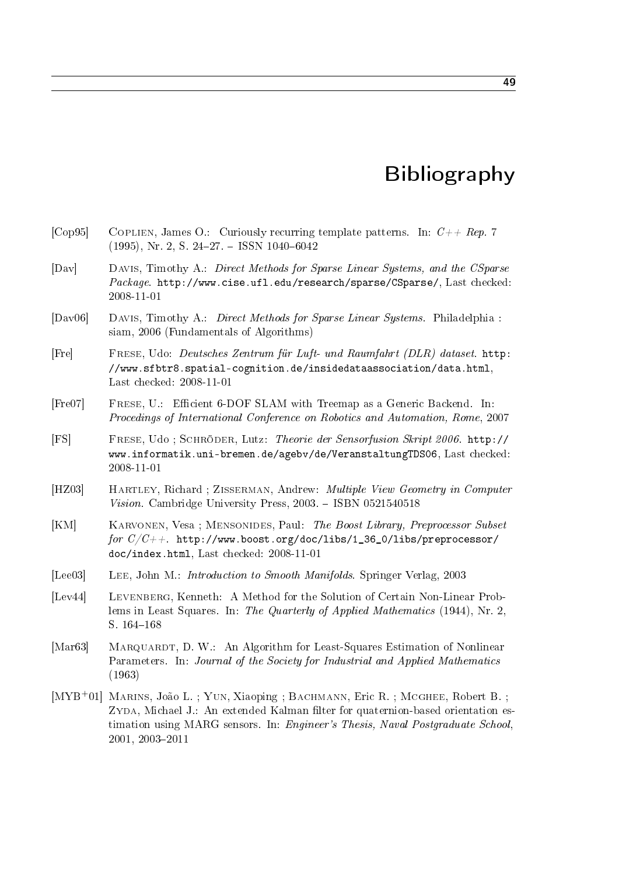## Bibliography

- <span id="page-52-2"></span><span id="page-52-0"></span>[Cop95] COPLIEN, James O.: Curiously recurring template patterns. In:  $C++ Rep. 7$  $(1995)$ , Nr. 2, S. 24-27. - ISSN 1040-6042
- <span id="page-52-8"></span>[Dav] Davis, Timothy A.: Direct Methods for Sparse Linear Systems, and the CSparse Package. [http://www.cise.ufl.edu/research/sparse/CSparse/,](http://www.cise.ufl.edu/research/sparse/CSparse/) Last checked: 2008-11-01
- <span id="page-52-9"></span>[Dav06] Davis, Timothy A.: Direct Methods for Sparse Linear Systems. Philadelphia : siam, 2006 (Fundamentals of Algorithms)
- <span id="page-52-11"></span>[Fre] Frese, Udo: Deutsches Zentrum für Luft- und Raumfahrt (DLR) dataset. [http:](http://www.sfbtr8.spatial-cognition.de/insidedataassociation/data.html) [//www.sfbtr8.spatial-cognition.de/insidedataassociation/data.html,](http://www.sfbtr8.spatial-cognition.de/insidedataassociation/data.html) Last checked: 2008-11-01
- <span id="page-52-12"></span>[Fre07] FRESE, U.: Efficient 6-DOF SLAM with Treemap as a Generic Backend. In: Procedings of International Conference on Robotics and Automation, Rome, 2007
- <span id="page-52-3"></span>[FS] Frese, Udo ; Schröder, Lutz: Theorie der Sensorfusion Skript 2006. [http://](http://www.informatik.uni-bremen.de/agebv/de/VeranstaltungTDS06) [www.informatik.uni-bremen.de/agebv/de/VeranstaltungTDS06,](http://www.informatik.uni-bremen.de/agebv/de/VeranstaltungTDS06) Last checked: 2008-11-01
- <span id="page-52-1"></span>[HZ03] Hartley, Richard ; Zisserman, Andrew: Multiple View Geometry in Computer Vision. Cambridge University Press, 2003. - ISBN 0521540518
- <span id="page-52-10"></span>[KM] Karvonen, Vesa ; Mensonides, Paul: The Boost Library, Preprocessor Subset for  $C/C++$ . [http://www.boost.org/doc/libs/1\\_36\\_0/libs/preprocessor/](http://www.boost.org/doc/libs/1_36_0/libs/preprocessor/doc/index.html) [doc/index.html,](http://www.boost.org/doc/libs/1_36_0/libs/preprocessor/doc/index.html) Last checked: 2008-11-01
- <span id="page-52-5"></span>[Lee03] LEE, John M.: *Introduction to Smooth Manifolds*. Springer Verlag, 2003
- <span id="page-52-6"></span>[Lev44] LEVENBERG, Kenneth: A Method for the Solution of Certain Non-Linear Problems in Least Squares. In: The Quarterly of Applied Mathematics (1944), Nr. 2, S.  $164-168$
- <span id="page-52-7"></span>[Mar63] MARQUARDT, D. W.: An Algorithm for Least-Squares Estimation of Nonlinear Parameters. In: Journal of the Society for Industrial and Applied Mathematics (1963)
- <span id="page-52-4"></span>[MYB+01] Marins, João L. ; Yun, Xiaoping ; Bachmann, Eric R. ; Mcghee, Robert B. ;  $ZYDA$ , Michael J.: An extended Kalman filter for quaternion-based orientation estimation using MARG sensors. In: *Engineer's Thesis, Naval Postgraduate School*, 2001, 2003-2011